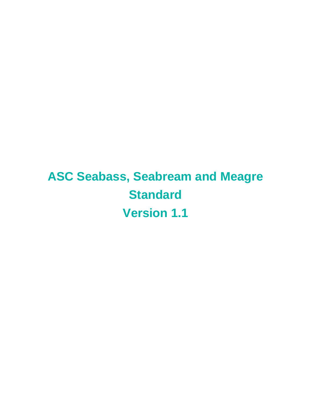**ASC Seabass, Seabream and Meagre Standard Version 1.1**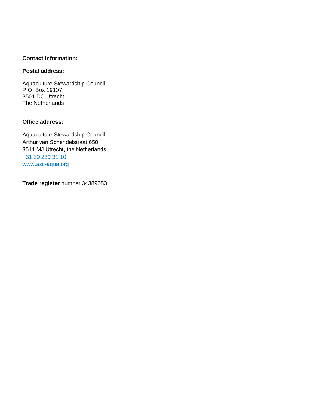#### **Contact information:**

### **Postal address:**

Aquaculture Stewardship Council P.O. Box 19107 3501 DC Utrecht The Netherlands

### **Office address:**

Aquaculture Stewardship Council Arthur van Schendelstraat 650 3511 MJ Utrecht, the Netherlands [+31 30 239 31 10](tel:+31302393110) [www.asc-aqua.org](http://www.asc-aqua.org/)

**Trade register** number 34389683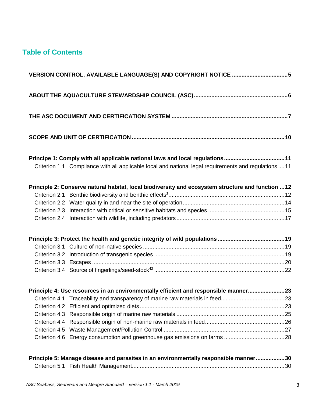# **Table of Contents**

| VERSION CONTROL, AVAILABLE LANGUAGE(S) AND COPYRIGHT NOTICE 5                                                                                                                          |  |
|----------------------------------------------------------------------------------------------------------------------------------------------------------------------------------------|--|
|                                                                                                                                                                                        |  |
|                                                                                                                                                                                        |  |
|                                                                                                                                                                                        |  |
| Principe 1: Comply with all applicable national laws and local regulations11<br>Criterion 1.1 Compliance with all applicable local and national legal requirements and regulations  11 |  |
| Principle 2: Conserve natural habitat, local biodiversity and ecosystem structure and function  12                                                                                     |  |
|                                                                                                                                                                                        |  |
|                                                                                                                                                                                        |  |
|                                                                                                                                                                                        |  |
|                                                                                                                                                                                        |  |
|                                                                                                                                                                                        |  |
|                                                                                                                                                                                        |  |
|                                                                                                                                                                                        |  |
|                                                                                                                                                                                        |  |
|                                                                                                                                                                                        |  |
| Principle 4: Use resources in an environmentally efficient and responsible manner23                                                                                                    |  |
|                                                                                                                                                                                        |  |
|                                                                                                                                                                                        |  |
|                                                                                                                                                                                        |  |
|                                                                                                                                                                                        |  |
|                                                                                                                                                                                        |  |
|                                                                                                                                                                                        |  |
|                                                                                                                                                                                        |  |

| Principle 5: Manage disease and parasites in an environmentally responsible manner30 |  |
|--------------------------------------------------------------------------------------|--|
|                                                                                      |  |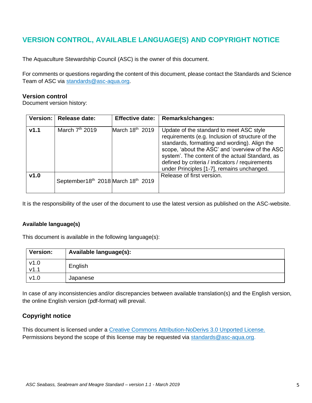# <span id="page-4-0"></span>**VERSION CONTROL, AVAILABLE LANGUAGE(S) AND COPYRIGHT NOTICE**

The Aquaculture Stewardship Council (ASC) is the owner of this document.

For comments or questions regarding the content of this document, please contact the Standards and Science Team of ASC via [standards@asc-aqua.org.](mailto:standards@asc-aqua.org)

#### **Version control**

Document version history:

|      | Version:   Release date:           | <b>Effective date:</b>      | Remarks/changes:                                                                                                                                                                                                                                                                                                                                     |
|------|------------------------------------|-----------------------------|------------------------------------------------------------------------------------------------------------------------------------------------------------------------------------------------------------------------------------------------------------------------------------------------------------------------------------------------------|
| v1.1 | March $7th$ 2019                   | March 18 <sup>th</sup> 2019 | Update of the standard to meet ASC style<br>requirements (e.g. Inclusion of structure of the<br>standards, formatting and wording). Align the<br>scope, 'about the ASC' and 'overview of the ASC<br>system'. The content of the actual Standard, as<br>defined by criteria / indicators / requirements<br>under Principles [1-7], remains unchanged. |
| v1.0 | September18th 2018 March 18th 2019 |                             | Release of first version.                                                                                                                                                                                                                                                                                                                            |

It is the responsibility of the user of the document to use the latest version as published on the ASC-website.

#### **Available language(s)**

This document is available in the following language(s):

| <b>Version:</b> | Available language(s): |
|-----------------|------------------------|
| V1.0<br>V1.1    | English                |
| v1.0            | Japanese               |

In case of any inconsistencies and/or discrepancies between available translation(s) and the English version, the online English version (pdf-format) will prevail.

## **Copyright notice**

This document is licensed under a [Creative Commons Attribution-NoDerivs 3.0 Unported License.](https://creativecommons.org/licenses/by-nd/3.0/) Permissions beyond the scope of this license may be requested via [standards@asc-aqua.org.](mailto:standards@asc-aqua.org)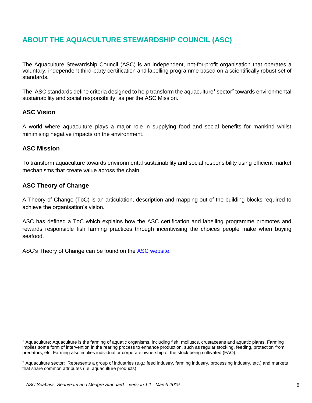# <span id="page-5-0"></span>**ABOUT THE AQUACULTURE STEWARDSHIP COUNCIL (ASC)**

The Aquaculture Stewardship Council (ASC) is an independent, not-for-profit organisation that operates a voluntary, independent third-party certification and labelling programme based on a scientifically robust set of standards.

The ASC standards define criteria designed to help transform the aquaculture<sup>1</sup> sector<sup>2</sup> towards environmental sustainability and social responsibility, as per the ASC Mission.

## **ASC Vision**

A world where aquaculture plays a major role in supplying food and social benefits for mankind whilst minimising negative impacts on the environment.

## **ASC Mission**

To transform aquaculture towards environmental sustainability and social responsibility using efficient market mechanisms that create value across the chain.

## **ASC Theory of Change**

A Theory of Change (ToC) is an articulation, description and mapping out of the building blocks required to achieve the organisation's vision**.** 

ASC has defined a ToC which explains how the ASC certification and labelling programme promotes and rewards responsible fish farming practices through incentivising the choices people make when buying seafood.

ASC's Theory of Change can be found on the [ASC website.](https://www.asc-aqua.org/what-we-do/how-we-make-a-difference/theory-of-change/)

<sup>1</sup> Aquaculture: Aquaculture is the farming of aquatic organisms, including fish, molluscs, crustaceans and aquatic plants. Farming implies some form of intervention in the rearing process to enhance production, such as regular stocking, feeding, protection from predators, etc. Farming also implies individual or corporate ownership of the stock being cultivated (FAO).

<sup>&</sup>lt;sup>2</sup> Aquaculture sector: Represents a group of industries (e.g.: feed industry, farming industry, processing industry, etc.) and markets that share common attributes (i.e. aquaculture products).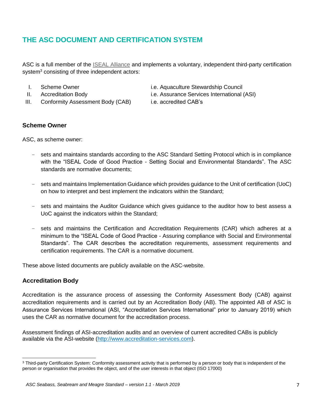# <span id="page-6-0"></span>**THE ASC DOCUMENT AND CERTIFICATION SYSTEM**

ASC is a full member of the **ISEAL Alliance** and implements a voluntary, independent third-party certification system<sup>3</sup> consisting of three independent actors:

- 
- 
- III. Conformity Assessment Body (CAB) i.e. accredited CAB's
- I. Scheme Owner i.e. Aquaculture Stewardship Council
- II. Accreditation Body i.e. Assurance Services International (ASI)
	-

## **Scheme Owner**

ASC, as scheme owner:

- sets and maintains standards according to the ASC Standard Setting Protocol which is in compliance with the "ISEAL Code of Good Practice - Setting Social and Environmental Standards". The ASC standards are normative documents;
- sets and maintains Implementation Guidance which provides guidance to the Unit of certification (UoC) on how to interpret and best implement the indicators within the Standard;
- sets and maintains the Auditor Guidance which gives guidance to the auditor how to best assess a UoC against the indicators within the Standard;
- sets and maintains the Certification and Accreditation Requirements (CAR) which adheres at a minimum to the "ISEAL Code of Good Practice - Assuring compliance with Social and Environmental Standards". The CAR describes the accreditation requirements, assessment requirements and certification requirements. The CAR is a normative document.

These above listed documents are publicly available on the ASC-website.

#### **Accreditation Body**

 $\overline{a}$ 

Accreditation is the assurance process of assessing the Conformity Assessment Body (CAB) against accreditation requirements and is carried out by an Accreditation Body (AB). The appointed AB of ASC is Assurance Services International (ASI, "Accreditation Services International" prior to January 2019) which uses the CAR as normative document for the accreditation process.

Assessment findings of ASI-accreditation audits and an overview of current accredited CABs is publicly available via the ASI-website [\(http://www.accreditation-services.com\)](http://www.accreditation-services.com/).

<sup>&</sup>lt;sup>3</sup> Third-party Certification System: Conformity assessment activity that is performed by a person or body that is independent of the person or organisation that provides the object, and of the user interests in that object (ISO 17000)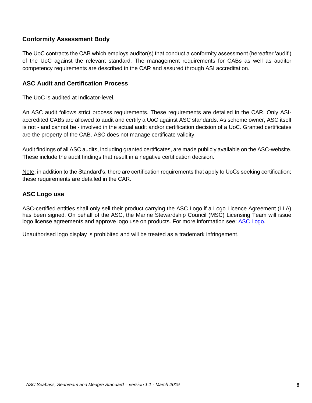## **Conformity Assessment Body**

The UoC contracts the CAB which employs auditor(s) that conduct a conformity assessment (hereafter 'audit') of the UoC against the relevant standard. The management requirements for CABs as well as auditor competency requirements are described in the CAR and assured through ASI accreditation.

### **ASC Audit and Certification Process**

The UoC is audited at Indicator-level.

An ASC audit follows strict process requirements. These requirements are detailed in the CAR. Only ASIaccredited CABs are allowed to audit and certify a UoC against ASC standards. As scheme owner, ASC itself is not - and cannot be - involved in the actual audit and/or certification decision of a UoC. Granted certificates are the property of the CAB. ASC does not manage certificate validity.

Audit findings of all ASC audits, including granted certificates, are made publicly available on the ASC-website. These include the audit findings that result in a negative certification decision.

Note: in addition to the Standard's, there are certification requirements that apply to UoCs seeking certification; these requirements are detailed in the CAR.

### **ASC Logo use**

ASC-certified entities shall only sell their product carrying the ASC Logo if a Logo Licence Agreement (LLA) has been signed. On behalf of the ASC, the Marine Stewardship Council (MSC) Licensing Team will issue logo license agreements and approve logo use on products. For more information see: [ASC Logo.](https://www.asc-aqua.org/our-logo/logo-user-guide/)

Unauthorised logo display is prohibited and will be treated as a trademark infringement.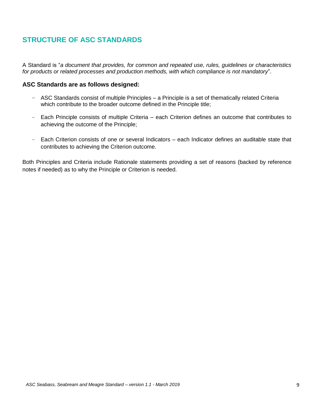# **STRUCTURE OF ASC STANDARDS**

A Standard is "*a document that provides, for common and repeated use, rules, guidelines or characteristics for products or related processes and production methods, with which compliance is not mandatory*".

#### **ASC Standards are as follows designed:**

- ASC Standards consist of multiple Principles a Principle is a set of thematically related Criteria which contribute to the broader outcome defined in the Principle title;
- Each Principle consists of multiple Criteria each Criterion defines an outcome that contributes to achieving the outcome of the Principle;
- Each Criterion consists of one or several Indicators each Indicator defines an auditable state that contributes to achieving the Criterion outcome.

Both Principles and Criteria include Rationale statements providing a set of reasons (backed by reference notes if needed) as to why the Principle or Criterion is needed.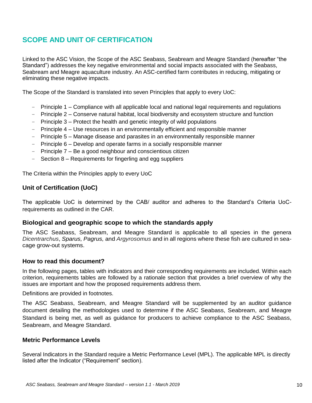# <span id="page-9-0"></span>**SCOPE AND UNIT OF CERTIFICATION**

Linked to the ASC Vision, the Scope of the ASC Seabass, Seabream and Meagre Standard (hereafter "the Standard") addresses the key negative environmental and social impacts associated with the Seabass, Seabream and Meagre aquaculture industry. An ASC-certified farm contributes in reducing, mitigating or eliminating these negative impacts.

The Scope of the Standard is translated into seven Principles that apply to every UoC:

- Principle 1 Compliance with all applicable local and national legal requirements and regulations
- Principle 2 Conserve natural habitat, local biodiversity and ecosystem structure and function
- Principle 3 Protect the health and genetic integrity of wild populations
- Principle 4 Use resources in an environmentally efficient and responsible manner
- Principle 5 Manage disease and parasites in an environmentally responsible manner
- Principle 6 Develop and operate farms in a socially responsible manner
- Principle 7 Be a good neighbour and conscientious citizen
- Section 8 Requirements for fingerling and egg suppliers

The Criteria within the Principles apply to every UoC

### **Unit of Certification (UoC)**

The applicable UoC is determined by the CAB/ auditor and adheres to the Standard's Criteria UoCrequirements as outlined in the CAR.

#### **Biological and geographic scope to which the standards apply**

The ASC Seabass, Seabream, and Meagre Standard is applicable to all species in the genera *Dicentrarchus*, *Sparus, Pagrus,* and *Argyrosomus* and in all regions where these fish are cultured in seacage grow-out systems.

#### **How to read this document?**

In the following pages, tables with indicators and their corresponding requirements are included. Within each criterion, requirements tables are followed by a rationale section that provides a brief overview of why the issues are important and how the proposed requirements address them.

Definitions are provided in footnotes.

The ASC Seabass, Seabream, and Meagre Standard will be supplemented by an auditor guidance document detailing the methodologies used to determine if the ASC Seabass, Seabream, and Meagre Standard is being met, as well as guidance for producers to achieve compliance to the ASC Seabass, Seabream, and Meagre Standard.

#### **Metric Performance Levels**

Several Indicators in the Standard require a Metric Performance Level (MPL). The applicable MPL is directly listed after the Indicator ("Requirement" section).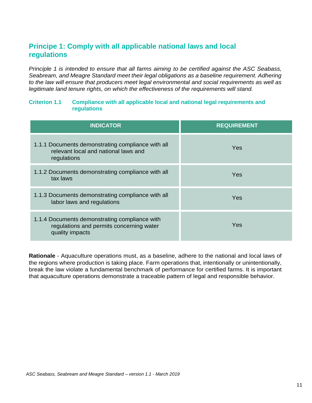## <span id="page-10-0"></span>**Principe 1: Comply with all applicable national laws and local regulations**

*Principle 1 is intended to ensure that all farms aiming to be certified against the ASC Seabass, Seabream, and Meagre Standard meet their legal obligations as a baseline requirement. Adhering to the law will ensure that producers meet legal environmental and social requirements as well as legitimate land tenure rights, on which the effectiveness of the requirements will stand.*

#### <span id="page-10-1"></span>**Criterion 1.1 Compliance with all applicable local and national legal requirements and regulations**

| <b>INDICATOR</b>                                                                                             | <b>REQUIREMENT</b> |
|--------------------------------------------------------------------------------------------------------------|--------------------|
| 1.1.1 Documents demonstrating compliance with all<br>relevant local and national laws and<br>regulations     | Yes                |
| 1.1.2 Documents demonstrating compliance with all<br>tax laws                                                | Yes                |
| 1.1.3 Documents demonstrating compliance with all<br>labor laws and regulations                              | Yes                |
| 1.1.4 Documents demonstrating compliance with<br>regulations and permits concerning water<br>quality impacts | Yes                |

**Rationale** - Aquaculture operations must, as a baseline, adhere to the national and local laws of the regions where production is taking place. Farm operations that, intentionally or unintentionally, break the law violate a fundamental benchmark of performance for certified farms. It is important that aquaculture operations demonstrate a traceable pattern of legal and responsible behavior.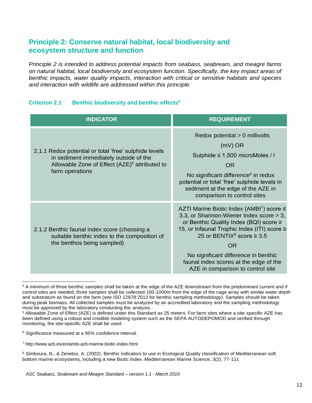## <span id="page-11-0"></span>**Principle 2: Conserve natural habitat, local biodiversity and ecosystem structure and function**

*Principle 2 is intended to address potential impacts from seabass, seabream, and meagre farms on natural habitat, local biodiversity and ecosystem function. Specifically, the key impact areas of benthic impacts, water quality impacts, interaction with critical or sensitive habitats and species and interaction with wildlife are addressed within this principle.*

#### <span id="page-11-1"></span>**Criterion 2.1 Benthic biodiversity and benthic effects<sup>4</sup>**

| <b>INDICATOR</b>                                                                                                                                                                | <b>REQUIREMENT</b>                                                                                                                                                                                                                                                                                                                                                         |
|---------------------------------------------------------------------------------------------------------------------------------------------------------------------------------|----------------------------------------------------------------------------------------------------------------------------------------------------------------------------------------------------------------------------------------------------------------------------------------------------------------------------------------------------------------------------|
| 2.1.1 Redox potential or total 'free' sulphide levels<br>in sediment immediately outside of the<br>Allowable Zone of Effect (AZE) <sup>5</sup> attributed to<br>farm operations | Redox potential > 0 millivolts<br>$(mV)$ OR<br>Sulphide $\leq$ 1,500 microMoles / I<br>OR<br>No significant difference <sup>6</sup> in redox<br>potential or total 'free' sulphide levels in<br>sediment at the edge of the AZE in<br>comparison to control sites                                                                                                          |
| 2.1.2 Benthic faunal index score (choosing a<br>suitable benthic index to the composition of<br>the benthos being sampled)                                                      | AZTI Marine Biotic Index (AMBI <sup>7</sup> ) score $\leq$<br>3.3, or Shannon-Wiener Index score > 3,<br>or Benthic Quality Index (BQI) score ≥<br>15, or Infaunal Trophic Index (ITI) score ≥<br>25 or BENTIX <sup>8</sup> score $\geq$ 3.5<br>OR.<br>No significant difference in benthic<br>faunal index scores at the edge of the<br>AZE in comparison to control site |

<sup>4</sup> A minimum of three benthic samples shall be taken at the edge of the AZE downstream from the predominant current and if control sites are needed, three samples shall be collected 100-1000m from the edge of the cage array with similar water depth and substratum as found on the farm (see ISO 12878:2012 for benthic sampling methodology). Samples should be taken during peak biomass. All collected samples must be analyzed by an accredited laboratory and the sampling methodology must be approved by the laboratory conducting the analysis.

<sup>6</sup> Significance measured at a 95% confidence interval.

<sup>5</sup> Allowable Zone of Effect (AZE) is defined under this Standard as 25 meters. For farm sites where a site-specific AZE has been defined using a robust and credible modeling system such as the SEPA AUTODEPOMOD and verified through monitoring, the site-specific AZE shall be used.

<sup>7</sup> <http://www.azti.es/en/ambi-azti-marine-biotic-index.html>

<sup>8</sup> Simboura, N., & Zenetos, A. (2002). Benthic indicators to use in Ecological Quality classification of Mediterranean soft bottom marine ecosystems, including a new Biotic Index. Mediterranean Marine Science, 3(2), 77-111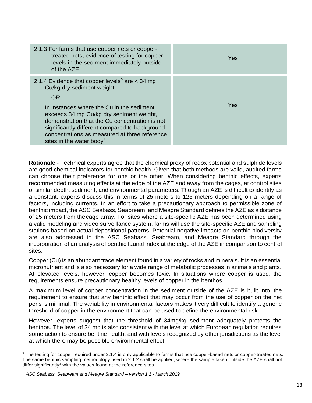| 2.1.3 For farms that use copper nets or copper-<br>treated nets, evidence of testing for copper<br>levels in the sediment immediately outside<br>of the AZE                                                                           | <b>Yes</b> |
|---------------------------------------------------------------------------------------------------------------------------------------------------------------------------------------------------------------------------------------|------------|
| 2.1.4 Evidence that copper levels <sup>9</sup> are $<$ 34 mg<br>Cu/kg dry sediment weight<br><b>OR</b><br>In instances where the Cu in the sediment                                                                                   | Yes        |
| exceeds 34 mg Cu/kg dry sediment weight,<br>demonstration that the Cu concentration is not<br>significantly different compared to background<br>concentrations as measured at three reference<br>sites in the water body <sup>3</sup> |            |

**Rationale** - Technical experts agree that the chemical proxy of redox potential and sulphide levels are good chemical indicators for benthic health. Given that both methods are valid, audited farms can choose their preference for one or the other. When considering benthic effects, experts recommended measuring effects at the edge of the AZE and away from the cages, at control sites of similar depth, sediment, and environmental parameters. Though an AZE is difficult to identify as a constant, experts discuss this in terms of 25 meters to 125 meters depending on a range of factors, including currents. In an effort to take a precautionary approach to permissible zone of benthic impact, the ASC Seabass, Seabream, and Meagre Standard defines the AZE as a distance of 25 meters from thecage array. For sites where a site-specific AZE has been determined using a valid modeling and video surveillance system, farms will use the site-specific AZE and sampling stations based on actual depositional patterns. Potential negative impacts on benthic biodiversity are also addressed in the ASC Seabass, Seabream, and Meagre Standard through the incorporation of an analysis of benthic faunal index at the edge of the AZE in comparison to control sites.

Copper (Cu) is an abundant trace element found in a variety of rocks and minerals. It is an essential micronutrient and is also necessary for a wide range of metabolic processes in animals and plants. At elevated levels, however, copper becomes toxic. In situations where copper is used, the requirements ensure precautionary healthy levels of copper in the benthos.

A maximum level of copper concentration in the sediment outside of the AZE is built into the requirement to ensure that any benthic effect that may occur from the use of copper on the net pens is minimal. The variability in environmental factors makes it very difficult to identify a generic threshold of copper in the environment that can be used to define the environmental risk.

However, experts suggest that the threshold of 34mg/kg sediment adequately protects the benthos. The level of 34 mg is also consistent with the level at which European regulation requires some action to ensure benthic health, and with levels recognized by other jurisdictions as the level at which there may be possible environmental effect.

<sup>&</sup>lt;sup>9</sup> The testing for copper required under 2.1.4 is only applicable to farms that use copper-based nets or copper-treated nets. The same benthic sampling methodology used in 2.1.2 shall be applied, where the sample taken outside the AZE shall not differ significantly<sup>4</sup> with the values found at the reference sites.

*ASC Seabass, Seabream and Meagre Standard – version 1.1 - March 2019*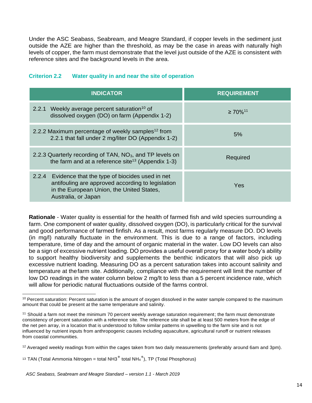Under the ASC Seabass, Seabream, and Meagre Standard, if copper levels in the sediment just outside the AZE are higher than the threshold, as may be the case in areas with naturally high levels of copper, the farm must demonstrate that the level just outside of the AZE is consistent with reference sites and the background levels in the area.

<span id="page-13-0"></span>

| <b>Criterion 2.2</b> |  |  |  |  | Water quality in and near the site of operation |
|----------------------|--|--|--|--|-------------------------------------------------|
|----------------------|--|--|--|--|-------------------------------------------------|

| <b>INDICATOR</b>                                                                                                                                                                 | <b>REQUIREMENT</b>        |
|----------------------------------------------------------------------------------------------------------------------------------------------------------------------------------|---------------------------|
| 2.2.1 Weekly average percent saturation <sup>10</sup> of<br>dissolved oxygen (DO) on farm (Appendix 1-2)                                                                         | $\geq 70\%$ <sup>11</sup> |
| 2.2.2 Maximum percentage of weekly samples <sup>12</sup> from<br>2.2.1 that fall under 2 mg/liter DO (Appendix 1-2)                                                              | 5%                        |
| 2.2.3 Quarterly recording of TAN, NO <sub>3</sub> , and TP levels on<br>the farm and at a reference site <sup>13</sup> (Appendix 1-3)                                            | Required                  |
| Evidence that the type of biocides used in net<br>2.2.4<br>antifouling are approved according to legislation<br>in the European Union, the United States,<br>Australia, or Japan | Yes                       |

**Rationale** - Water quality is essential for the health of farmed fish and wild species surrounding a farm. One component of water quality, dissolved oxygen (DO), is particularly critical for the survival and good performance of farmed finfish. As a result, most farms regularly measure DO. DO levels (in mg/l) naturally fluctuate in the environment. This is due to a range of factors, including temperature, time of day and the amount of organic material in the water. Low DO levels can also be a sign of excessive nutrient loading. DO provides a useful overall proxy for a water body's ability to support healthy biodiversity and supplements the benthic indicators that will also pick up excessive nutrient loading. Measuring DO as a percent saturation takes into account salinity and temperature at thefarm site. Additionally, compliance with the requirement will limit the number of low DO readings in the water column below 2 mg/lt to less than a 5 percent incidence rate, which will allow for periodic natural fluctuations outside of the farms control.

  $10$  Percent saturation: Percent saturation is the amount of oxygen dissolved in the water sample compared to the maximum amount that could be present at the same temperature and salinity.

<sup>&</sup>lt;sup>11</sup> Should a farm not meet the minimum 70 percent weekly average saturation requirement; the farm must demonstrate consistency of percent saturation with a reference site. The reference site shall be at least 500 meters from the edge of the net pen array, in a location that is understood to follow similar patterns in upwelling to the farm site and is not influenced by nutrient inputs from anthropogenic causes including aquaculture, agricultural runoff or nutrient releases from coastal communities.

 $12$  Averaged weekly readings from within the cages taken from two daily measurements (preferably around 6am and 3pm).

<sup>&</sup>lt;sup>13</sup> TAN (Total Ammonia Nitrogen = total NH3<sup>+</sup> total NH<sub>4</sub><sup>+</sup>), TP (Total Phosphorus)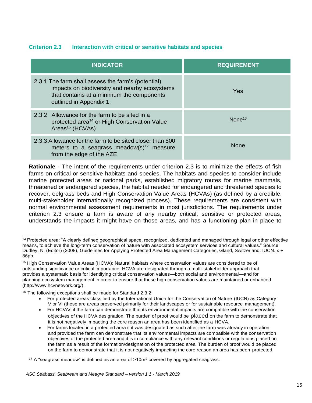## <span id="page-14-0"></span>**Criterion 2.3 Interaction with critical or sensitive habitats and species**

| <b>INDICATOR</b>                                                                                                                                                            | <b>REQUIREMENT</b> |
|-----------------------------------------------------------------------------------------------------------------------------------------------------------------------------|--------------------|
| 2.3.1 The farm shall assess the farm's (potential)<br>impacts on biodiversity and nearby ecosystems<br>that contains at a minimum the components<br>outlined in Appendix 1. | Yes                |
| 2.3.2 Allowance for the farm to be sited in a<br>protected area <sup>14</sup> or High Conservation Value<br>Areas <sup>15</sup> (HCVAs)                                     | None <sup>16</sup> |
| 2.3.3 Allowance for the farm to be sited closer than 500<br>meters to a seagrass meadow(s) <sup>17</sup> measure<br>from the edge of the AZE                                | <b>None</b>        |

**Rationale** - The intent of the requirements under criterion 2.3 is to minimize the effects of fish farms on critical or sensitive habitats and species. The habitats and species to consider include marine protected areas or national parks, established migratory routes for marine mammals, threatened or endangered species, the habitat needed for endangered and threatened species to recover, eelgrass beds and High Conservation Value Areas (HCVAs) (as defined by a credible, multi-stakeholder internationally recognized process). These requirements are consistent with normal environmental assessment requirements in most jurisdictions. The requirements under criterion 2.3 ensure a farm is aware of any nearby critical, sensitive or protected areas, understands the impacts it might have on those areas, and has a functioning plan in place to

 <sup>14</sup> Protected area: "A clearly defined geographical space, recognized, dedicated and managed through legal or other effective means, to achieve the long-term conservation of nature with associated ecosystem services and cultural values." Source: Dudley, N. (Editor) (2008), Guidelines for Applying Protected Area Management Categories, Gland, Switzerland: IUCN. x + 86pp.

<sup>15</sup> High Conservation Value Areas (HCVA): Natural habitats where conservation values are considered to be of outstanding significance or critical importance. HCVA are designated through a multi-stakeholder approach that provides a systematic basis for identifying critical conservation values—both social and environmental—and for planning ecosystem management in order to ensure that these high conservation values are maintained or enhanced [\(http://www.hcvnetwork.org/\).](http://www.hcvnetwork.org/))

<sup>&</sup>lt;sup>16</sup> The following exceptions shall be made for Standard 2.3.2:

For protected areas classified by the International Union for the Conservation of Nature (IUCN) as Category V or VI (these are areas preserved primarily for their landscapes or for sustainable resource management).

<sup>•</sup> For HCVAs if the farm can demonstrate that its environmental impacts are compatible with the conservation objectives of the HCVA designation. The burden of proof would be placed on the farm to demonstrate that it is not negatively impacting the core reason an area has been identified as a HCVA.

For farms located in a protected area if it was designated as such after the farm was already in operation and provided the farm can demonstrate that its environmental impacts are compatible with the conservation objectives of the protected area and it is in compliance with any relevant conditions or regulations placed on the farm as a result of the formation/designation of the protected area. The burden of proof would be placed on the farm to demonstrate that it is not negatively impacting the core reason an area has been protected.

<sup>&</sup>lt;sup>17</sup> A "seagrass meadow" is defined as an area of  $>10<sup>m²</sup>$  covered by aggregated seagrass.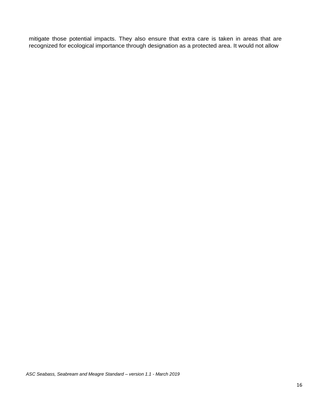mitigate those potential impacts. They also ensure that extra care is taken in areas that are recognized for ecological importance through designation as a protected area. It would not allow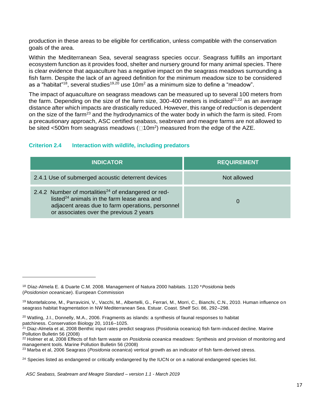production in these areas to be eligible for certification, unless compatible with the conservation goals of the area.

Within the Mediterranean Sea, several seagrass species occur. Seagrass fulfills an important ecosystem function as it provides food, shelter and nursery ground for many animal species. There is clear evidence that aquaculture has a negative impact on the seagrass meadows surrounding a fish farm. Despite the lack of an agreed definition for the minimum meadow size to be considered as a "habitat"<sup>18</sup>, several studies<sup>19,20</sup> use 10m<sup>2</sup> as a minimum size to define a "meadow".

The impact of aquaculture on seagrass meadows can be measured up to several 100 meters from the farm. Depending on the size of the farm size, 300-400 meters is indicated<sup>21,22</sup> as an average distance after which impacts are drastically reduced. However, this range of reduction is dependent on the size of the farm<sup>23</sup> and the hydrodynamics of the water body in which the farm is sited. From a precautionary approach, ASC certified seabass, seabream and meagre farms are not allowed to be sited <500m from seagrass meadows ( $\Box$ 10m<sup>2</sup>) measured from the edge of the AZE.

## <span id="page-16-0"></span>**Criterion 2.4 Interaction with wildlife, including predators**

| <b>INDICATOR</b>                                                                                                                                                                                                          | <b>REQUIREMENT</b> |
|---------------------------------------------------------------------------------------------------------------------------------------------------------------------------------------------------------------------------|--------------------|
| 2.4.1 Use of submerged acoustic deterrent devices                                                                                                                                                                         | Not allowed        |
| 2.4.2 Number of mortalities <sup>24</sup> of endangered or red-<br>listed <sup>24</sup> animals in the farm lease area and<br>adjacent areas due to farm operations, personnel<br>or associates over the previous 2 years | $\Omega$           |

<sup>18</sup> Díaz-Almela E. & Duarte C.M. 2008. Management of Natura 2000 habitats. 1120 \**Posidonia* beds (*Posidonion oceanicae*). European Commission

<sup>&</sup>lt;sup>19</sup> Montefalcone, M., Parravicini, V., Vacchi, M., Albertelli, G., Ferrari, M., Morri, C., Bianchi, C.N., 2010. Human influence on seagrass habitat fragmentation in NW Mediterranean Sea. Estuar. Coast. Shelf Sci. 86, 292–298.

<sup>&</sup>lt;sup>20</sup> Watling, J.I., Donnelly, M.A., 2006. Fragments as islands: a synthesis of faunal responses to habitat patchiness. Conservation Biology 20, 1016–1025.

<sup>&</sup>lt;sup>21</sup> Diaz-Almela et al, 2008 Benthic input rates predict seagrass (Posidonia oceanica) fish farm-induced decline. Marine Pollution Bulletin 56 (2008)

<sup>22</sup> Holmer et al, 2008 Effects of fish farm waste on *Posidonia oceanica* meadows: Synthesis and provision of monitoring and management tools. Marine Pollution Bulletin 56 (2008)

<sup>23</sup> Marba et al, 2006 Seagrass (*Posidonia oceanica*) vertical growth as an indicator of fish farm-derived stress.

<sup>&</sup>lt;sup>24</sup> Species listed as endangered or critically endangered by the IUCN or on a national endangered species list.

*ASC Seabass, Seabream and Meagre Standard – version 1.1 - March 2019*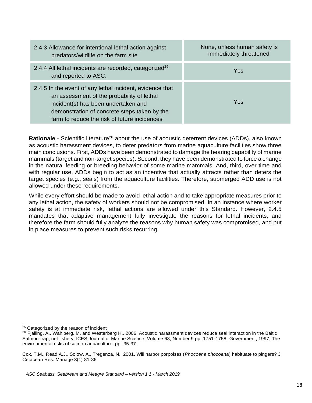| 2.4.3 Allowance for intentional lethal action against<br>predators/wildlife on the farm site                                                                                                                                                  | None, unless human safety is<br>immediately threatened |
|-----------------------------------------------------------------------------------------------------------------------------------------------------------------------------------------------------------------------------------------------|--------------------------------------------------------|
| 2.4.4 All lethal incidents are recorded, categorized <sup>25</sup><br>and reported to ASC.                                                                                                                                                    | Yes                                                    |
| 2.4.5 In the event of any lethal incident, evidence that<br>an assessment of the probability of lethal<br>incident(s) has been undertaken and<br>demonstration of concrete steps taken by the<br>farm to reduce the risk of future incidences | Yes                                                    |

**Rationale** - Scientific literature<sup>26</sup> about the use of acoustic deterrent devices (ADDs), also known as acoustic harassment devices, to deter predators from marine aquaculture facilities show three main conclusions. First, ADDs have been demonstrated to damage the hearing capability of marine mammals (target and non-target species). Second, they have been demonstrated to force a change in the natural feeding or breeding behavior of some marine mammals. And, third, over time and with regular use, ADDs begin to act as an incentive that actually attracts rather than deters the target species (e.g., seals) from the aquaculture facilities. Therefore, submerged ADD use is not allowed under these requirements.

While every effort should be made to avoid lethal action and to take appropriate measures prior to any lethal action, the safety of workers should not be compromised. In an instance where worker safety is at immediate risk, lethal actions are allowed under this Standard. However, 2.4.5 mandates that adaptive management fully investigate the reasons for lethal incidents, and therefore the farm should fully analyze the reasons why human safety was compromised, and put in place measures to prevent such risks recurring.

<sup>&</sup>lt;sup>25</sup> Categorized by the reason of incident

 $26$  Fjalling, A., Wahlberg, M. and Westerberg H., 2006. Acoustic harassment devices reduce seal interaction in the Baltic Salmon-trap, net fishery. ICES Journal of Marine Science: Volume 63, Number 9 pp. 1751-1758. Government, 1997, The environmental risks of salmon aquaculture, pp. 35-37.

Cox, T.M., Read A.J., Solow, A., Tregenza, N., 2001. Will harbor porpoises (*Phocoena phocoena*) habituate to pingers? J. Cetacean Res. Manage 3(1) 81-86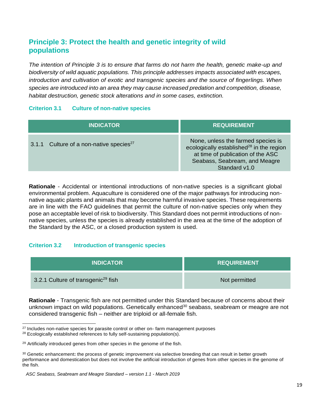# <span id="page-18-0"></span>**Principle 3: Protect the health and genetic integrity of wild populations**

*The intention of Principle 3 is to ensure that farms do not harm the health, genetic make-up and biodiversity of wild aquatic populations. This principle addresses impacts associated with escapes, introduction and cultivation of exotic and transgenic species and the source of fingerlings. When species are introduced into an area they may cause increased predation and competition, disease, habitat destruction, genetic stock alterations and in some cases, extinction.*

#### <span id="page-18-1"></span>**Criterion 3.1 Culture of non-native species**

| <b>INDICATOR</b>                                    | <b>REQUIREMENT</b>                                                                                                                                                          |
|-----------------------------------------------------|-----------------------------------------------------------------------------------------------------------------------------------------------------------------------------|
| 3.1.1 Culture of a non-native species <sup>27</sup> | None, unless the farmed species is<br>ecologically established $^{28}$ in the region<br>at time of publication of the ASC<br>Seabass, Seabream, and Meagre<br>Standard v1.0 |

**Rationale** - Accidental or intentional introductions of non-native species is a significant global environmental problem. Aquaculture is considered one of the major pathways for introducing nonnative aquatic plants and animals that may become harmful invasive species. These requirements are in line with the FAO guidelines that permit the culture of non-native species only when they pose an acceptable level of risk to biodiversity. This Standard does not permit introductions of nonnative species, unless the species is already established in the area at the time of the adoption of the Standard by the ASC, or a closed production system is used.

## <span id="page-18-2"></span>**Criterion 3.2 Introduction of transgenic species**

| <b>INDICATOR</b>                               | <b>REQUIREMENT</b> |
|------------------------------------------------|--------------------|
| 3.2.1 Culture of transgenic <sup>29</sup> fish | Not permitted      |

**Rationale** - Transgenic fish are not permitted under this Standard because of concerns about their unknown impact on wild populations. Genetically enhanced<sup>30</sup> seabass, seabream or meagre are not considered transgenic fish – neither are triploid or all-female fish.

 $27$  Includes non-native species for parasite control or other on-farm management purposes

<sup>&</sup>lt;sup>28</sup> Ecologically established references to fully self-sustaining population(s).

<sup>&</sup>lt;sup>29</sup> Artificially introduced genes from other species in the genome of the fish.

<sup>30</sup> Genetic enhancement**:** the process of genetic improvement via selective breeding that can result in better growth performance and domestication but does not involve the artificial introduction of genes from other species in the genome of the fish.

*ASC Seabass, Seabream and Meagre Standard – version 1.1 - March 2019*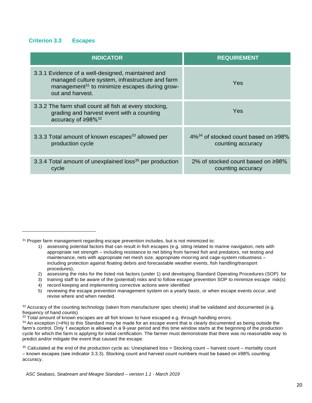#### <span id="page-19-0"></span>**Criterion 3.3 Escapes**

| <b>INDICATOR</b>                                                                                                                                                                      | <b>REQUIREMENT</b>                                                    |
|---------------------------------------------------------------------------------------------------------------------------------------------------------------------------------------|-----------------------------------------------------------------------|
| 3.3.1 Evidence of a well-designed, maintained and<br>managed culture system, infrastructure and farm<br>management <sup>31</sup> to minimize escapes during grow-<br>out and harvest. | Yes                                                                   |
| 3.3.2 The farm shall count all fish at every stocking,<br>grading and harvest event with a counting<br>accuracy of $\geq 98\%^{32}$                                                   | Yes                                                                   |
| 3.3.3 Total amount of known escapes <sup>33</sup> allowed per<br>production cycle                                                                                                     | $4\%^{34}$ of stocked count based on $\geq 98\%$<br>counting accuracy |
| 3.3.4 Total amount of unexplained loss <sup>35</sup> per production<br>cycle                                                                                                          | 2% of stocked count based on $\geq 98\%$<br>counting accuracy         |

<sup>31</sup> Proper farm management regarding escape prevention includes, but is not minimized to:

- 2) assessing the risks for the listed risk factors (under 1) and developing Standard Operating Procedures (SOP) for
- 3) training staff to be aware of the (potential) risks and to follow escape prevention SOP to minimize escape risk(s)
- 4) record keeping and implementing corrective actions were identified
- 5) reviewing the escape prevention management system on a yearly basis, or when escape events occur, and revise where and when needed.

 $33$  Total amount of known escapes are all fish known to have escaped e.g. through handling errors.

<sup>1)</sup> assessing potential factors that can result in fish escapes (e.g. siting related to marine navigation, nets with appropriate net strength – including resistance to net biting from farmed fish and predators, net testing and maintenance, nets with appropriate net mesh size, appropriate mooring and cage-system robustness – including protection against floating debris and forecastable weather events, fish handling/transport procedures),

<sup>32</sup> Accuracy of the counting technology (taken from manufacturer spec sheets) shall be validated and documented (e.g. frequency of hand counts)

 $34$  An exception ( $>4\%$ ) to this Standard may be made for an escape event that is clearly documented as being outside the farm's control. Only 1 exception is allowed in a 9-year period and this time window starts at the beginning of the production cycle for which the farm is applying for initial certification. The farmer must demonstrate that there was no reasonable way to predict and/or mitigate the event that caused the escape.

 $35$  Calculated at the end of the production cycle as: Unexplained loss = Stocking count – harvest count – mortality count – known escapes (see indicator 3.3.3). Stocking count and harvest count numbers must be based on ≥98% counting accuracy.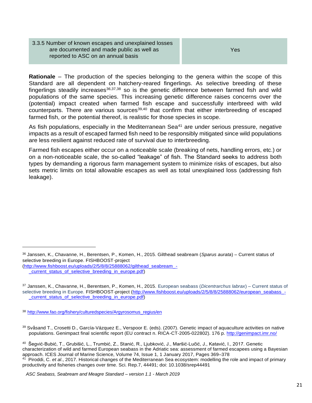#### 3.3.5 Number of known escapes and unexplained losses are documented and made public as well as reported to ASC on an annual basis

Yes

**Rationale** – The production of the species belonging to the genera within the scope of this Standard are all dependent on hatchery-reared fingerlings. As selective breeding of these fingerlings steadily increases $36,37,38$  so is the genetic difference between farmed fish and wild populations of the same species. This increasing genetic difference raises concerns over the (potential) impact created when farmed fish escape and successfully interbreed with wild counterparts. There are various sources $39,40$  that confirm that either interbreeding of escaped farmed fish, or the potential thereof, is realistic for those species in scope.

As fish populations, especially in the Mediterranean Sea $41$  are under serious pressure, negative impacts as a result of escaped farmed fish need to be responsibly mitigated since wild populations are less resilient against reduced rate of survival due to interbreeding.

Farmed fish escapes either occur on a noticeable scale (breaking of nets, handling errors, etc.) or on a non-noticeable scale, the so-called "leakage" of fish. The Standard seeks to address both types by demanding a rigorous farm management system to minimize risks of escapes, but also sets metric limits on total allowable escapes as well as total unexplained loss (addressing fish leakage).

<sup>36</sup> Janssen, K., Chavanne, H., Berentsen, P., Komen, H., 2015. Gilthead seabream (*Sparus aurata*) – Current status of selective breeding in Europe. FISHBOOST-project

[<sup>\(</sup>http://www.fishboost.eu/uploads/2/5/8/8/25888062/gilthead\\_seabream\\_-](http://www.fishboost.eu/uploads/2/5/8/8/25888062/gilthead_seabream_-)

current status of selective breeding in europe.pdf)

<sup>37</sup> Janssen, K., Chavanne, H., Berentsen, P., Komen, H., 2015. European seabass (*Dicentrarchus labrax*) – Current status of selective breeding in Europe. FISHBOOST-project [\(http://www.fishboost.eu/uploads/2/5/8/8/25888062/european\\_seabass\\_-](http://www.fishboost.eu/uploads/2/5/8/8/25888062/european_seabass_-) \_current\_status\_of\_selective\_breeding\_in\_europe.pdf)

<sup>38</sup> [http://www.fao.org/fishery/culturedspecies/Argyrosomus\\_regius/en](http://www.fao.org/fishery/culturedspecies/Argyrosomus_regius/en)

<sup>39</sup> Svåsand T., Crosetti D., García-Vázquez E., Verspoor E. (eds). (2007). Genetic impact of aquaculture activities on native populations. Genimpact final scientific report (EU contract n. RICA-CT-2005-022802). 176 p[. http://genimpact.imr.no/](http://genimpact.imr.no/)

<sup>&</sup>lt;sup>40</sup> Šegvić-Bubić, T., Grubišić, L., Trumbić, Z., Stanić, R., Ljubković, J., Maršić-Lučić, J., Katavić, I., 2017. Genetic characterization of wild and farmed European seabass in the Adriatic sea: assessment of farmed escapees using a Bayesian approach. ICES Journal of Marine Science, Volume 74, Issue 1, 1 January 2017, Pages 369–378 41 Piroddi, C. *et al*., 2017. Historical changes of the Mediterranean Sea ecosystem: modelling the role and impact of primary productivity and fisheries changes over time. Sci. Rep.7, 44491; doi: 10.1038/srep44491

*ASC Seabass, Seabream and Meagre Standard – version 1.1 - March 2019*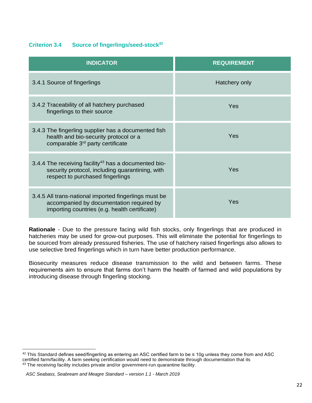## <span id="page-21-0"></span>**Criterion 3.4 Source of fingerlings/seed-stock<sup>42</sup>**

| <b>INDICATOR</b>                                                                                                                                        | <b>REQUIREMENT</b> |
|---------------------------------------------------------------------------------------------------------------------------------------------------------|--------------------|
| 3.4.1 Source of fingerlings                                                                                                                             | Hatchery only      |
| 3.4.2 Traceability of all hatchery purchased<br>fingerlings to their source                                                                             | Yes                |
| 3.4.3 The fingerling supplier has a documented fish<br>health and bio-security protocol or a<br>comparable 3 <sup>rd</sup> party certificate            | Yes                |
| 3.4.4 The receiving facility <sup>43</sup> has a documented bio-<br>security protocol, including quarantining, with<br>respect to purchased fingerlings | Yes                |
| 3.4.5 All trans-national imported fingerlings must be<br>accompanied by documentation required by<br>importing countries (e.g. health certificate)      | Yes                |

**Rationale** - Due to the pressure facing wild fish stocks, only fingerlings that are produced in hatcheries may be used for grow-out purposes. This will eliminate the potential for fingerlings to be sourced from already pressured fisheries. The use of hatchery raised fingerlings also allows to use selective bred fingerlings which in turn have better production performance.

Biosecurity measures reduce disease transmission to the wild and between farms. These requirements aim to ensure that farms don't harm the health of farmed and wild populations by introducing disease through fingerling stocking.

 $42$  This Standard defines seed/fingerling as entering an ASC certified farm to be  $\leq 10$ g unless they come from and ASC certified farm/facility. A farm seeking certification would need to demonstrate through documentation that its 43 The receiving facility includes private and/or government-run quarantine facility.

*ASC Seabass, Seabream and Meagre Standard – version 1.1 - March 2019*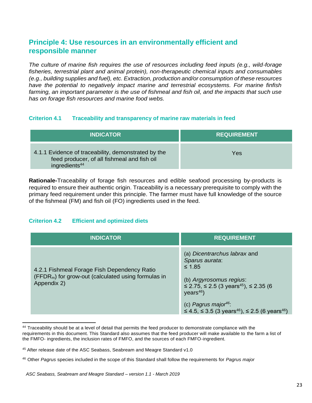# <span id="page-22-0"></span>**Principle 4: Use resources in an environmentally efficient and responsible manner**

*The culture of marine fish requires the use of resources including feed inputs (e.g., wild-forage fisheries, terrestrial plant and animal protein), non-therapeutic chemical inputs and consumables (e.g., building supplies and fuel), etc. Extraction, production and/or consumption of these resources have the potential to negatively impact marine and terrestrial ecosystems. For marine finfish*  farming, an important parameter is the use of fishmeal and fish oil, and the impacts that such use *has on forage fish resources and marine food webs.*

#### <span id="page-22-1"></span>**Criterion 4.1 Traceability and transparency of marine raw materials in feed**

| <b>INDICATOR</b>                                                                                                                | <b>REQUIREMENT</b> |
|---------------------------------------------------------------------------------------------------------------------------------|--------------------|
| 4.1.1 Evidence of traceability, demonstrated by the<br>feed producer, of all fishmeal and fish oil<br>ingredients <sup>44</sup> | Yes                |

**Rationale-**Traceability of forage fish resources and edible seafood processing by-products is required to ensure their authentic origin. Traceability is a necessary prerequisite to comply with the primary feed requirement under this principle. The farmer must have full knowledge of the source of the fishmeal (FM) and fish oil (FO) ingredients used in the feed.

## <span id="page-22-2"></span>**Criterion 4.2 Efficient and optimized diets**

| <b>INDICATOR</b>                                                                                                   | <b>REQUIREMENT</b>                                                                                                                                                                                                                                                                  |
|--------------------------------------------------------------------------------------------------------------------|-------------------------------------------------------------------------------------------------------------------------------------------------------------------------------------------------------------------------------------------------------------------------------------|
| 4.2.1 Fishmeal Forage Fish Dependency Ratio<br>$(FFDRm)$ for grow-out (calculated using formulas in<br>Appendix 2) | (a) Dicentrarchus labrax and<br>Sparus aurata:<br>$\leq 1.85$<br>(b) Argyrosomus regius:<br>$≤$ 2.75, ≤ 2.5 (3 years <sup>45</sup> ), ≤ 2.35 (6<br>years <sup>46</sup><br>(c) Pagrus major <sup>46</sup> :<br>≤ 4.5, ≤ 3.5 (3 years <sup>46</sup> ), ≤ 2.5 (6 years <sup>46</sup> ) |

<sup>&</sup>lt;sup>44</sup> Traceability should be at a level of detail that permits the feed producer to demonstrate compliance with the requirements in this document. This Standard also assumes that the feed producer will make available to the farm a list of the FMFO- ingredients, the inclusion rates of FMFO, and the sources of each FMFO-ingredient.

<sup>45</sup> After release date of the ASC Seabass, Seabream and Meagre Standard v1.0

<sup>46</sup> Other *Pagrus* species included in the scope of this Standard shall follow the requirements for *Pagrus major*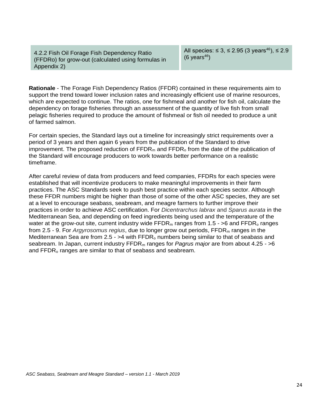4.2.2 Fish Oil Forage Fish Dependency Ratio (FFDRo) for grow-out (calculated using formulas in Appendix 2)

All species: ≤ 3, ≤ 2.95 (3 years<sup>46</sup>), ≤ 2.9  $(6 \text{ years}^{46})$ 

**Rationale** - The Forage Fish Dependency Ratios (FFDR) contained in these requirements aim to support the trend toward lower inclusion rates and increasingly efficient use of marine resources, which are expected to continue. The ratios, one for fishmeal and another for fish oil, calculate the dependency on forage fisheries through an assessment of the quantity of live fish from small pelagic fisheries required to produce the amount of fishmeal or fish oil needed to produce a unit of farmed salmon.

For certain species, the Standard lays out a timeline for increasingly strict requirements over a period of 3 years and then again 6 years from the publication of the Standard to drive improvement. The proposed reduction of  $\text{FFDR}_m$  and  $\text{FFDR}_o$  from the date of the publication of the Standard will encourage producers to work towards better performance on a realistic timeframe.

<span id="page-23-0"></span>After careful review of data from producers and feed companies, FFDRs for each species were established that will incentivize producers to make meaningful improvements in their farm practices. The ASC Standards seek to push best practice within each species sector. Although these FFDR numbers might be higher than those of some of the other ASC species, they are set at a level to encourage seabass, seabream, and meagre farmers to further improve their practices in order to achieve ASC certification. For *Dicentrarchus labrax* and *Sparus aurata* in the Mediterranean Sea, and depending on feed ingredients being used and the temperature of the water at the grow-out site, current industry wide  $\text{FFDR}_m$  ranges from 1.5 - >6 and  $\text{FFDR}_o$  ranges from 2.5 - 9. For *Argyrosomus regius*, due to longer grow out periods, FFDR<sup>m</sup> ranges in the Mediterranean Sea are from 2.5 -  $>4$  with FFDR<sub>o</sub> numbers being similar to that of seabass and seabream. In Japan, current industry FFDR<sup>m</sup> ranges for *Pagrus major* are from about 4.25 - >6 and FFDR<sub>o</sub> ranges are similar to that of seabass and seabream.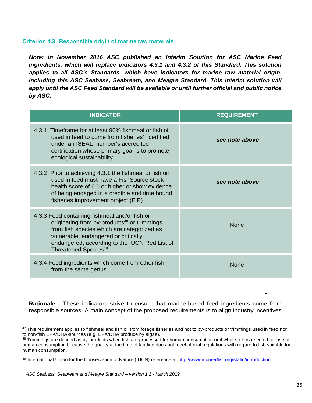#### **Criterion 4.3 Responsible origin of marine raw materials**

*Note: In November 2016 ASC published an Interim Solution for ASC Marine Feed Ingredients, which will replace indicators 4.3.1 and 4.3.2 of this Standard. This solution applies to all ASC's Standards, which have indicators for marine raw material origin,*  including this ASC Seabass, Seabream, and Meagre Standard. This interim solution will *apply until the ASC Feed Standard will be available or until further official and public notice by ASC.*

| <b>INDICATOR</b>                                                                                                                                                                                                                                                                     | <b>REQUIREMENT</b> |
|--------------------------------------------------------------------------------------------------------------------------------------------------------------------------------------------------------------------------------------------------------------------------------------|--------------------|
| 4.3.1 Timeframe for at least 90% fishmeal or fish oil<br>used in feed to come from fisheries <sup>47</sup> certified<br>under an ISEAL member's accredited<br>certification whose primary goal is to promote<br>ecological sustainability                                            | see note above     |
| 4.3.2 Prior to achieving 4.3.1 the fishmeal or fish oil<br>used in feed must have a FishSource stock<br>health score of 6.0 or higher or show evidence<br>of being engaged in a credible and time bound<br>fisheries improvement project (FIP)                                       | see note above     |
| 4.3.3 Feed containing fishmeal and/or fish oil<br>originating from by-products <sup>48</sup> or trimmings<br>from fish species which are categorized as<br>vulnerable, endangered or critically<br>endangered, according to the IUCN Red List of<br>Threatened Species <sup>49</sup> | <b>None</b>        |
| 4.3.4 Feed ingredients which come from other fish<br>from the same genus                                                                                                                                                                                                             | None               |

**Rationale** - These indicators strive to ensure that marine-based feed ingredients come from responsible sources. A main concept of the proposed requirements is to align industry incentives

<sup>&</sup>lt;sup>47</sup> This requirement applies to fishmeal and fish oil from forage fisheries and not to by-products or trimmings used in feed nor to non-fish EPA/DHA-sources (e.g. EPA/DHA produce by algae).

<sup>48</sup> Trimmings are defined as by-products when fish are processed for human consumption or if whole fish is rejected for use of human consumption because the quality at the time of landing does not meet official regulations with regard to fish suitable for human consumption.

<sup>49</sup> International Union for the Conservation of Nature (IUCN) reference at [http://www.iucnredlist.org/static/introduction.](http://www.iucnredlist.org/static/introduction)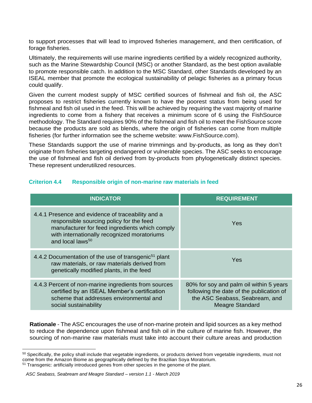to support processes that will lead to improved fisheries management, and then certification, of forage fisheries.

Ultimately, the requirements will use marine ingredients certified by a widely recognized authority, such as the Marine Stewardship Council (MSC) or another Standard, as the best option available to promote responsible catch. In addition to the MSC Standard, other Standards developed by an ISEAL member that promote the ecological sustainability of pelagic fisheries as a primary focus could qualify.

Given the current modest supply of MSC certified sources of fishmeal and fish oil, the ASC proposes to restrict fisheries currently known to have the poorest status from being used for fishmeal and fish oil used in the feed. This will be achieved by requiring the vast majority of marine ingredients to come from a fishery that receives a minimum score of 6 using the FishSource methodology. The Standard requires 90% of the fishmeal and fish oil to meet the FishSource score because the products are sold as blends, where the origin of fisheries can come from multiple fisheries (for further information see the scheme website: www.FishSource.com).

These Standards support the use of marine trimmings and by-products, as long as they don't originate from fisheries targeting endangered or vulnerable species. The ASC seeks to encourage the use of fishmeal and fish oil derived from by-products from phylogenetically distinct species. These represent underutilized resources.

#### <span id="page-25-0"></span>**Criterion 4.4 Responsible origin of non-marine raw materials in feed**

| <b>INDICATOR</b>                                                                                                                                                                                                               | <b>REQUIREMENT</b>                                                                                                                              |
|--------------------------------------------------------------------------------------------------------------------------------------------------------------------------------------------------------------------------------|-------------------------------------------------------------------------------------------------------------------------------------------------|
| 4.4.1 Presence and evidence of traceability and a<br>responsible sourcing policy for the feed<br>manufacturer for feed ingredients which comply<br>with internationally recognized moratoriums<br>and local laws <sup>50</sup> | Yes                                                                                                                                             |
| 4.4.2 Documentation of the use of transgenic <sup>51</sup> plant<br>raw materials, or raw materials derived from<br>genetically modified plants, in the feed                                                                   | Yes                                                                                                                                             |
| 4.4.3 Percent of non-marine ingredients from sources<br>certified by an ISEAL Member's certification<br>scheme that addresses environmental and<br>social sustainability                                                       | 80% for soy and palm oil within 5 years<br>following the date of the publication of<br>the ASC Seabass, Seabream, and<br><b>Meagre Standard</b> |

**Rationale** - The ASC encourages the use of non-marine protein and lipid sources as a key method to reduce the dependence upon fishmeal and fish oil in the culture of marine fish. However, the sourcing of non-marine raw materials must take into account their culture areas and production

<sup>&</sup>lt;sup>50</sup> Specifically, the policy shall include that vegetable ingredients, or products derived from vegetable ingredients, must not come from the Amazon Biome as geographically defined by the Brazilian Soya Moratorium. <sup>51</sup> Transgenic: artificially introduced genes from other species in the genome of the plant.

*ASC Seabass, Seabream and Meagre Standard – version 1.1 - March 2019*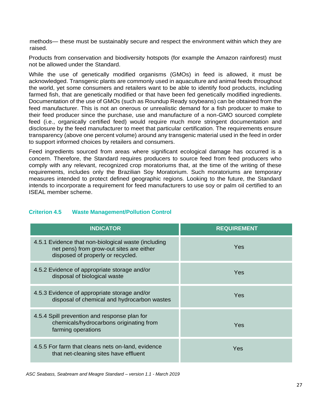methods— these must be sustainably secure and respect the environment within which they are raised.

Products from conservation and biodiversity hotspots (for example the Amazon rainforest) must not be allowed under the Standard.

While the use of genetically modified organisms (GMOs) in feed is allowed, it must be acknowledged. Transgenic plants are commonly used in aquaculture and animal feeds throughout the world, yet some consumers and retailers want to be able to identify food products, including farmed fish, that are genetically modified or that have been fed genetically modified ingredients. Documentation of the use of GMOs (such as Roundup Ready soybeans) can be obtained from the feed manufacturer. This is not an onerous or unrealistic demand for a fish producer to make to their feed producer since the purchase, use and manufacture of a non-GMO sourced complete feed (i.e., organically certified feed) would require much more stringent documentation and disclosure by the feed manufacturer to meet that particular certification. The requirements ensure transparency (above one percent volume) around any transgenic material used in the feed in order to support informed choices by retailers and consumers.

Feed ingredients sourced from areas where significant ecological damage has occurred is a concern. Therefore, the Standard requires producers to source feed from feed producers who comply with any relevant, recognized crop moratoriums that, at the time of the writing of these requirements, includes only the Brazilian Soy Moratorium. Such moratoriums are temporary measures intended to protect defined geographic regions. Looking to the future, the Standard intends to incorporate a requirement for feed manufacturers to use soy or palm oil certified to an ISEAL member scheme.

#### <span id="page-26-0"></span>**Criterion 4.5 Waste Management/Pollution Control**

| <b>INDICATOR</b>                                                                                                                     | <b>REQUIREMENT</b> |
|--------------------------------------------------------------------------------------------------------------------------------------|--------------------|
| 4.5.1 Evidence that non-biological waste (including<br>net pens) from grow-out sites are either<br>disposed of properly or recycled. | Yes                |
| 4.5.2 Evidence of appropriate storage and/or<br>disposal of biological waste                                                         | Yes                |
| 4.5.3 Evidence of appropriate storage and/or<br>disposal of chemical and hydrocarbon wastes                                          | Yes                |
| 4.5.4 Spill prevention and response plan for<br>chemicals/hydrocarbons originating from<br>farming operations                        | Yes                |
| 4.5.5 For farm that cleans nets on-land, evidence<br>that net-cleaning sites have effluent                                           | Yes                |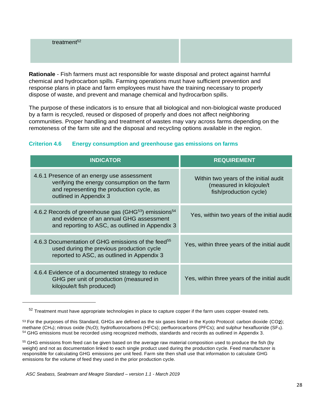treatment $52$ 

**Rationale** - Fish farmers must act responsible for waste disposal and protect against harmful chemical and hydrocarbon spills. Farming operations must have sufficient prevention and response plans in place and farm employees must have the training necessary to properly dispose of waste, and prevent and manage chemical and hydrocarbon spills.

The purpose of these indicators is to ensure that all biological and non-biological waste produced by a farm is recycled, reused or disposed of properly and does not affect neighboring communities. Proper handling and treatment of wastes may vary across farms depending on the remoteness of the farm site and the disposal and recycling options available in the region.

## <span id="page-27-0"></span>**Criterion 4.6 Energy consumption and greenhouse gas emissions on farms**

| <b>INDICATOR</b>                                                                                                                                                            | <b>REQUIREMENT</b>                                                                          |
|-----------------------------------------------------------------------------------------------------------------------------------------------------------------------------|---------------------------------------------------------------------------------------------|
| 4.6.1 Presence of an energy use assessment<br>verifying the energy consumption on the farm<br>and representing the production cycle, as<br>outlined in Appendix 3           | Within two years of the initial audit<br>(measured in kilojoule/t<br>fish/production cycle) |
| 4.6.2 Records of greenhouse gas (GHG <sup>53</sup> ) emissions <sup>54</sup><br>and evidence of an annual GHG assessment<br>and reporting to ASC, as outlined in Appendix 3 | Yes, within two years of the initial audit                                                  |
| 4.6.3 Documentation of GHG emissions of the feed <sup>55</sup><br>used during the previous production cycle<br>reported to ASC, as outlined in Appendix 3                   | Yes, within three years of the initial audit                                                |
| 4.6.4 Evidence of a documented strategy to reduce<br>GHG per unit of production (measured in<br>kilojoule/t fish produced)                                                  | Yes, within three years of the initial audit                                                |

 $52$  Treatment must have appropriate technologies in place to capture copper if the farm uses copper-treated nets.

<sup>53</sup> For the purposes of this Standard, GHGs are defined as the six gases listed in the Kyoto Protocol: carbon dioxide (CO**2**); methane (CH<sub>4</sub>); nitrous oxide (N<sub>2</sub>O); hydrofluorocarbons (HFCs); perfluorocarbons (PFCs); and sulphur hexafluoride (SF<sub>6</sub>). <sup>54</sup> GHG emissions must be recorded using recognized methods, standards and records as outlined in Appendix 3.

<sup>55</sup> GHG emissions from feed can be given based on the average raw material composition used to produce the fish (by weight) and not as documentation linked to each single product used during the production cycle. Feed manufacturer is responsible for calculating GHG emissions per unit feed. Farm site then shall use that information to calculate GHG emissions for the volume of feed they used in the prior production cycle.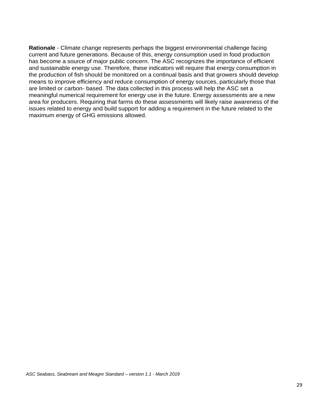**Rationale** - Climate change represents perhaps the biggest environmental challenge facing current and future generations. Because of this, energy consumption used in food production has become a source of major public concern. The ASC recognizes the importance of efficient and sustainable energy use. Therefore, these indicators will require that energy consumption in the production of fish should be monitored on a continual basis and that growers should develop means to improve efficiency and reduce consumption of energy sources, particularly those that are limited or carbon- based. The data collected in this process will help the ASC set a meaningful numerical requirement for energy use in the future. Energy assessments are a new area for producers. Requiring that farms do these assessments will likely raise awareness of the issues related to energy and build support for adding a requirement in the future related to the maximum energy of GHG emissions allowed.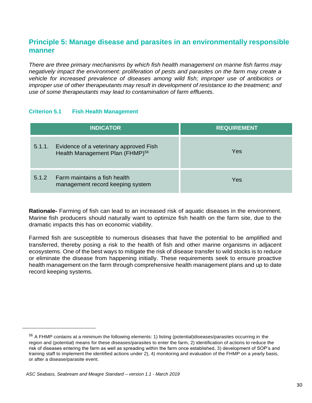## <span id="page-29-0"></span>**Principle 5: Manage disease and parasites in an environmentally responsible manner**

*There are three primary mechanisms by which fish health management on marine fish farms may negatively impact the environment: proliferation of pests and parasites on the farm may create a vehicle for increased prevalence of diseases among wild fish; improper use of antibiotics or improper use of other therapeutants may result in development of resistance to the treatment; and use of some therapeutants may lead to contamination of farm effluents.*

#### <span id="page-29-1"></span>**Criterion 5.1 Fish Health Management**

| <b>INDICATOR</b>                                                                                | <b>REQUIREMENT</b> |  |
|-------------------------------------------------------------------------------------------------|--------------------|--|
| Evidence of a veterinary approved Fish<br>5.1.1.<br>Health Management Plan (FHMP) <sup>56</sup> | Yes                |  |
| Farm maintains a fish health<br>5.1.2<br>management record keeping system                       | Yes                |  |

**Rationale-** Farming of fish can lead to an increased risk of aquatic diseases in the environment. Marine fish producers should naturally want to optimize fish health on the farm site, due to the dramatic impacts this has on economic viability.

Farmed fish are susceptible to numerous diseases that have the potential to be amplified and transferred, thereby posing a risk to the health of fish and other marine organisms in adjacent ecosystems. One of the best ways to mitigate the risk of disease transfer to wild stocks is to reduce or eliminate the disease from happening initially. These requirements seek to ensure proactive health management on the farm through comprehensive health management plans and up to date record keeping systems.

 $56$  A FHMP contains at a minimum the following elements: 1) listing (potential)diseases/parasites occurring in the region and (potential) means for these diseases/parasites to enter the farm, 2) identification of actions to reduce the risk of diseases entering the farm as well as spreading within the farm once established, 3) development of SOP's and training staff to implement the identified actions under 2), 4) monitoring and evaluation of the FHMP on a yearly basis, or after a disease/parasite event.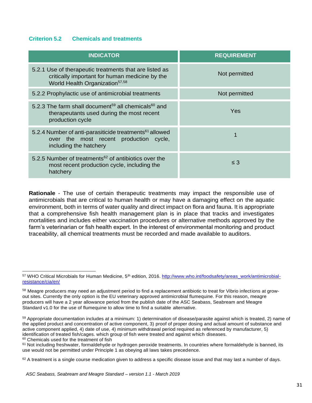#### <span id="page-30-0"></span>**Criterion 5.2 Chemicals and treatments**

| <b>INDICATOR</b>                                                                                                                                       | <b>REQUIREMENT</b> |
|--------------------------------------------------------------------------------------------------------------------------------------------------------|--------------------|
| 5.2.1 Use of therapeutic treatments that are listed as<br>critically important for human medicine by the<br>World Health Organization <sup>57,58</sup> | Not permitted      |
| 5.2.2 Prophylactic use of antimicrobial treatments                                                                                                     | Not permitted      |
| 5.2.3 The farm shall document <sup>59</sup> all chemicals <sup>60</sup> and<br>therapeutants used during the most recent<br>production cycle           | Yes                |
| 5.2.4 Number of anti-parasiticide treatments <sup>61</sup> allowed<br>over the most recent production cycle,<br>including the hatchery                 |                    |
| 5.2.5 Number of treatments <sup>62</sup> of antibiotics over the<br>most recent production cycle, including the<br>hatchery                            | $\leq$ 3           |

**Rationale** - The use of certain therapeutic treatments may impact the responsible use of antimicrobials that are critical to human health or may have a damaging effect on the aquatic environment, both in terms of water quality and direct impact on flora and fauna. It is appropriate that a comprehensive fish health management plan is in place that tracks and investigates mortalities and includes either vaccination procedures or alternative methods approved by the farm's veterinarian or fish health expert. In the interest of environmental monitoring and product traceability, all chemical treatments must be recorded and made available to auditors.

 57 WHO Critical Microbials for Human Medicine, 5<sup>th</sup> edition, 2016. [http://www.who.int/foodsafety/areas\\_work/antimicrobial](http://www.who.int/foodsafety/areas_work/antimicrobial-)resistance/cia/en/

<sup>&</sup>lt;sup>58</sup> Meagre producers may need an adjustment period to find a replacement antibiotic to treat for Vibrio infections at growout sites. Currently the only option is the EU veterinary approved antimicrobial flumequine. For this reason, meagre producers will have a 2 year allowance period from the publish date of the ASC Seabass, Seabream and Meagre Standard v1.0 for the use of flumequine to allow time to find a suitable alternative.

<sup>59</sup> Appropriate documentation includes at a minimum: 1) determination of disease/parasite against which is treated, 2) name of the applied product and concentration of active component, 3) proof of proper dosing and actual amount of substance and active component applied, 4) date of use, 4) minimum withdrawal period required as referenced by manufacturer, 5) identification of treated fish/cages. which group of fish were treated and against which diseases.

<sup>60</sup> Chemicals used for the treatment of fish

 $61$  Not including freshwater, formaldehyde or hydrogen peroxide treatments. In countries where formaldehyde is banned, its use would not be permitted under Principle 1 as obeying all laws takes precedence.

 $62$  A treatment is a single course medication given to address a specific disease issue and that may last a number of days.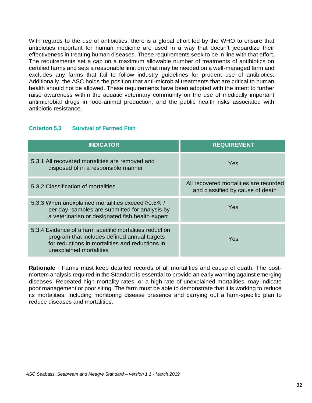With regards to the use of antibiotics, there is a global effort led by the WHO to ensure that antibiotics important for human medicine are used in a way that doesn't jeopardize their effectiveness in treating human diseases. These requirements seek to be in line with that effort. The requirements set a cap on a maximum allowable number of treatments of antibiotics on certified farms and sets a reasonable limit on what may be needed on a well-managed farm and excludes any farms that fail to follow industry guidelines for prudent use of antibiotics. Additionally, the ASC holds the position that anti-microbial treatments that are critical to human health should not be allowed. These requirements have been adopted with the intent to further raise awareness within the aquatic veterinary community on the use of medically important antimicrobial drugs in food-animal production, and the public health risks associated with antibiotic resistance.

#### <span id="page-31-0"></span>**Criterion 5.3 Survival of Farmed Fish**

| <b>INDICATOR</b>                                                                                                                                                                      | <b>REQUIREMENT</b>                                                         |
|---------------------------------------------------------------------------------------------------------------------------------------------------------------------------------------|----------------------------------------------------------------------------|
| 5.3.1 All recovered mortalities are removed and<br>disposed of in a responsible manner                                                                                                | Yes                                                                        |
| 5.3.2 Classification of mortalities                                                                                                                                                   | All recovered mortalities are recorded<br>and classified by cause of death |
| 5.3.3 When unexplained mortalities exceed ≥0.5% /<br>per day, samples are submitted for analysis by<br>a veterinarian or designated fish health expert                                | <b>Yes</b>                                                                 |
| 5.3.4 Evidence of a farm specific mortalities reduction<br>program that includes defined annual targets<br>for reductions in mortalities and reductions in<br>unexplained mortalities | Yes                                                                        |

**Rationale** - Farms must keep detailed records of all mortalities and cause of death. The postmortem analysis required in the Standard is essential to provide an early warning against emerging diseases. Repeated high mortality rates, or a high rate of unexplained mortalities, may indicate poor management or poor siting. The farm must be able to demonstrate that it is working to reduce its mortalities, including monitoring disease presence and carrying out a farm-specific plan to reduce diseases and mortalities.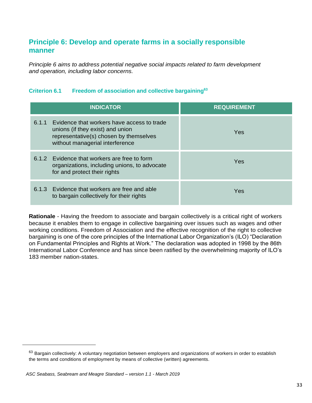# <span id="page-32-0"></span>**Principle 6: Develop and operate farms in a socially responsible manner**

*Principle 6 aims to address potential negative social impacts related to farm development and operation, including labor concerns.*

## <span id="page-32-1"></span>**Criterion 6.1 Freedom of association and collective bargaining<sup>63</sup>**

| <b>INDICATOR</b>                                                                                                                                                     | <b>REQUIREMENT</b> |
|----------------------------------------------------------------------------------------------------------------------------------------------------------------------|--------------------|
| Evidence that workers have access to trade<br>6.1.1<br>unions (if they exist) and union<br>representative(s) chosen by themselves<br>without managerial interference | Yes                |
| 6.1.2 Evidence that workers are free to form<br>organizations, including unions, to advocate<br>for and protect their rights                                         | Yes                |
| 6.1.3 Evidence that workers are free and able<br>to bargain collectively for their rights                                                                            | Yes                |

**Rationale** - Having the freedom to associate and bargain collectively is a critical right of workers because it enables them to engage in collective bargaining over issues such as wages and other working conditions. Freedom of Association and the effective recognition of the right to collective bargaining is one of the core principles of the International Labor Organization's (ILO) "Declaration on Fundamental Principles and Rights at Work." The declaration was adopted in 1998 by the 86th International Labor Conference and has since been ratified by the overwhelming majority of ILO's 183 member nation-states.

 $63$  Bargain collectively: A voluntary negotiation between employers and organizations of workers in order to establish the terms and conditions of employment by means of collective (written) agreements.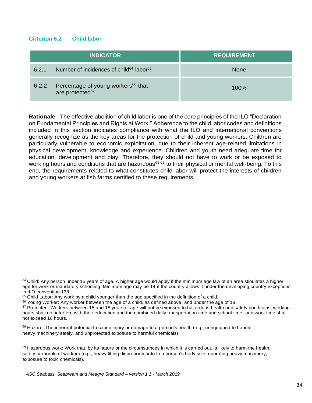#### <span id="page-33-0"></span>**Criterion 6.2 Child labor**

|       | <b>INDICATOR</b>                                                              | <b>REQUIREMENT</b> |
|-------|-------------------------------------------------------------------------------|--------------------|
| 6.2.1 | Number of incidences of child <sup>64</sup> labor <sup>65</sup>               | <b>None</b>        |
| 6.2.2 | Percentage of young workers <sup>66</sup> that<br>are protected <sup>67</sup> | $100\%$            |

**Rationale** - The effective abolition of child labor is one of the core principles of the ILO "Declaration on Fundamental Principles and Rights at Work." Adherence to the child labor codes and definitions included in this section indicates compliance with what the ILO and international conventions generally recognize as the key areas for the protection of child and young workers. Children are particularly vulnerable to economic exploitation, due to their inherent age-related limitations in physical development, knowledge and experience. Children and youth need adequate time for education, development and play. Therefore, they should not have to work or be exposed to working hours and conditions that are hazardous<sup>68,69</sup> to their physical or mental well-being. To this end, the requirements related to what constitutes child labor will protect the interests of children and young workers at fish farms certified to these requirements.

 $64$  Child: Any person under 15 years of age. A higher age would apply if the minimum age law of an area stipulates a higher age for work or mandatory schooling. Minimum age may be 14 if the country allows it under the developing country exceptions in ILO convention 138.

 $65$  Child Labor: Any work by a child younger than the age specified in the definition of a child.

 $66$  Young Worker: Any worker between the age of a child, as defined above, and under the age of 18.

 $67$  Protected: Workers between 15 and 18 years of age will not be exposed to hazardous health and safety conditions; working hours shall not interfere with their education and the combined daily transportation time and school time, and work time shall not exceed 10 hours.

 $68$  Hazard: The inherent potential to cause injury or damage to a person's health (e.g., unequipped to handle heavy machinery safely, and unprotected exposure to harmful chemicals).

 $69$  Hazardous work: Work that, by its nature or the circumstances in which it is carried out, is likely to harm the health, safety or morals of workers (e.g., heavy lifting disproportionate to a person's body size, operating heavy machinery, exposure to toxic chemicals).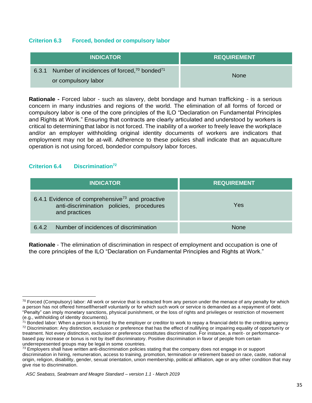### <span id="page-34-0"></span>**Criterion 6.3 Forced, bonded or compulsory labor**

| <b>INDICATOR</b>                                                                                   | <b>REQUIREMENT</b> |
|----------------------------------------------------------------------------------------------------|--------------------|
| Number of incidences of forced, <sup>70</sup> bonded <sup>71</sup><br>6.3.1<br>or compulsory labor | <b>None</b>        |

**Rationale -** Forced labor - such as slavery, debt bondage and human trafficking - is a serious concern in many industries and regions of the world. The elimination of all forms of forced or compulsory labor is one of the core principles of the ILO "Declaration on Fundamental Principles and Rights at Work." Ensuring that contracts are clearly articulated and understood by workers is critical to determiningthat labor is not forced. The inability of a worker to freely leave the workplace and/or an employer withholding original identity documents of workers are indicators that employment may not be at-will. Adherence to these policies shall indicate that an aquaculture operation is not using forced, bondedor compulsory labor forces.

### <span id="page-34-1"></span>**Criterion 6.4 Discrimination<sup>72</sup>**

 $\overline{a}$ 

| <b>INDICATOR</b>                                                                                                         | <b>REQUIREMENT</b> |
|--------------------------------------------------------------------------------------------------------------------------|--------------------|
| 6.4.1 Evidence of comprehensive <sup>73</sup> and proactive<br>anti-discrimination policies, procedures<br>and practices | Yes                |
| Number of incidences of discrimination<br>6.4.2                                                                          | None               |

**Rationale** - The elimination of discrimination in respect of employment and occupation is one of the core principles of the ILO "Declaration on Fundamental Principles and Rights at Work."

 $70$  Forced (Compulsory) labor: All work or service that is extracted from any person under the menace of any penalty for which a person has not offered himself/herself voluntarily or for which such work or service is demanded as a repayment of debt. "Penalty" can imply monetary sanctions, physical punishment, or the loss of rights and privileges or restriction of movement (e.g., withholding of identity documents).

 $71$  Bonded labor: When a person is forced by the employer or creditor to work to repay a financial debt to the crediting agency  $72$  Discrimination: Any distinction, exclusion or preference that has the effect of nullifying or impairing equality of opportunity or treatment. Not every distinction, exclusion or preference constitutes discrimination. For instance, a merit- or performancebased pay increase or bonus is not by itself discriminatory. Positive discrimination in favor of people from certain underrepresented groups may be legal in some countries.

 $73$  Employers shall have written anti-discrimination policies stating that the company does not engage in or support discrimination in hiring, remuneration, access to training, promotion, termination or retirement based on race, caste, national origin, religion, disability, gender, sexual orientation, union membership, political affiliation, age or any other condition that may give rise to discrimination.

*ASC Seabass, Seabream and Meagre Standard – version 1.1 - March 2019*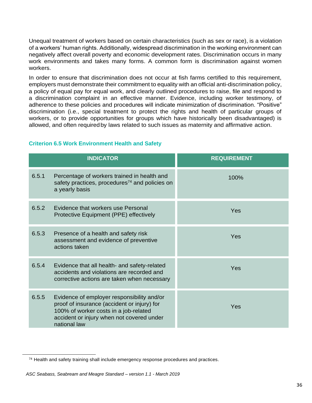Unequal treatment of workers based on certain characteristics (such as sex or race), is a violation of a workers' human rights. Additionally, widespread discrimination in the working environment can negatively affect overall poverty and economic development rates. Discrimination occurs in many work environments and takes many forms. A common form is discrimination against women workers.

In order to ensure that discrimination does not occur at fish farms certified to this requirement, employers must demonstrate their commitment to equality with an official anti-discrimination policy, a policy of equal pay for equal work, and clearly outlined procedures to raise, file and respond to a discrimination complaint in an effective manner. Evidence, including worker testimony, of adherence to these policies and procedures will indicate minimization of discrimination. "Positive" discrimination (i.e., special treatment to protect the rights and health of particular groups of workers, or to provide opportunities for groups which have historically been disadvantaged) is allowed, and often requiredby laws related to such issues as maternity and affirmative action.

<span id="page-35-0"></span>

|  |  | <b>Criterion 6.5 Work Environment Health and Safety</b> |  |  |
|--|--|---------------------------------------------------------|--|--|
|--|--|---------------------------------------------------------|--|--|

| <b>INDICATOR</b> |                                                                                                                                                                                                 | <b>REQUIREMENT</b> |
|------------------|-------------------------------------------------------------------------------------------------------------------------------------------------------------------------------------------------|--------------------|
| 6.5.1            | Percentage of workers trained in health and<br>safety practices, procedures <sup>74</sup> and policies on<br>a yearly basis                                                                     | 100%               |
| 6.5.2            | Evidence that workers use Personal<br>Protective Equipment (PPE) effectively                                                                                                                    | Yes                |
| 6.5.3            | Presence of a health and safety risk<br>assessment and evidence of preventive<br>actions taken                                                                                                  | Yes                |
| 6.5.4            | Evidence that all health- and safety-related<br>accidents and violations are recorded and<br>corrective actions are taken when necessary                                                        | Yes                |
| 6.5.5            | Evidence of employer responsibility and/or<br>proof of insurance (accident or injury) for<br>100% of worker costs in a job-related<br>accident or injury when not covered under<br>national law | Yes                |

<sup>&</sup>lt;sup>74</sup> Health and safety training shall include emergency response procedures and practices.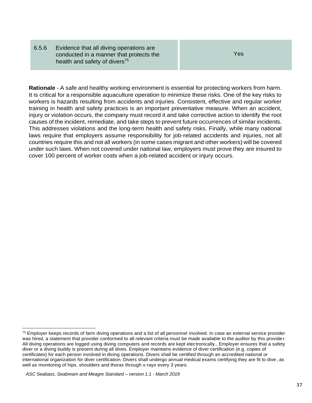6.5.6 Evidence that all diving operations are conducted in a manner that protects the health and safety of divers<sup>75</sup>

Yes

<span id="page-36-0"></span>**Rationale** - A safe and healthy working environment is essential for protecting workers from harm. It is critical for a responsible aquaculture operation to minimize these risks. One of the key risks to workers is hazards resulting from accidents and injuries. Consistent, effective and regular worker training in health and safety practices is an important preventative measure. When an accident, injury or violation occurs, the company must record it and take corrective action to identify the root causes of the incident, remediate, and take steps to prevent future occurrences of similar incidents. This addresses violations and the long-term health and safety risks. Finally, while many national laws require that employers assume responsibility for job-related accidents and injuries, not all countries require this and not all workers (in some cases migrant and other workers) will be covered under such laws. When not covered under national law, employers must prove they are insured to cover 100 percent of worker costs when a job-related accident or injury occurs.

<sup>&</sup>lt;sup>75</sup> Employer keeps records of farm diving operations and a list of all personnel involved. In case an external service provider was hired, a statement that provider conformed to all relevant criteria must be made available to the auditor by this provider. All diving operations are logged using diving computers and records are kept electronically., Employer ensures that a safety diver or a diving buddy is present during all dives. Employer maintains evidence of diver certification (e.g. copies of certificates) for each person involved in diving operations. Divers shall be certified through an accredited national or international organization for diver certification. Divers shall undergo annual medical exams certifying they are fit to dive, as well as monitoring of hips, shoulders and thorax through x-rays every 3 years.

*ASC Seabass, Seabream and Meagre Standard – version 1.1 - March 2019*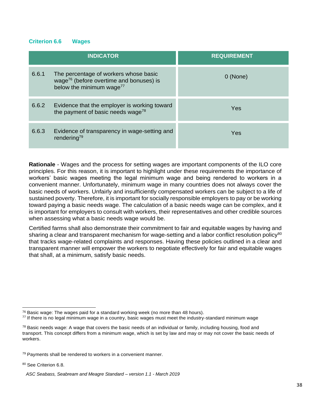#### **Criterion 6.6 Wages**

| <b>INDICATOR</b> |                                                                                                                                      | <b>REQUIREMENT</b> |
|------------------|--------------------------------------------------------------------------------------------------------------------------------------|--------------------|
| 6.6.1            | The percentage of workers whose basic<br>wage <sup>76</sup> (before overtime and bonuses) is<br>below the minimum wage <sup>77</sup> | 0 (None)           |
| 6.6.2            | Evidence that the employer is working toward<br>the payment of basic needs wage <sup>78</sup>                                        | Yes                |
| 6.6.3            | Evidence of transparency in wage-setting and<br>rendering <sup>79</sup>                                                              | Yes                |

**Rationale** - Wages and the process for setting wages are important components of the ILO core principles. For this reason, it is important to highlight under these requirements the importance of workers' basic wages meeting the legal minimum wage and being rendered to workers in a convenient manner. Unfortunately, minimum wage in many countries does not always cover the basic needs of workers. Unfairly and insufficiently compensated workers can be subject to a life of sustained poverty. Therefore, it is important for socially responsible employers to pay or be working toward paying a basic needs wage. The calculation of a basic needs wage can be complex, and it is important for employers to consult with workers, their representatives and other credible sources when assessing what a basic needs wage would be.

Certified farms shall also demonstrate their commitment to fair and equitable wages by having and sharing a clear and transparent mechanism for wage-setting and a labor conflict resolution policy<sup>80</sup> that tracks wage-related complaints and responses. Having these policies outlined in a clear and transparent manner will empower the workers to negotiate effectively for fair and equitable wages that shall, at a minimum, satisfy basic needs.

80 See Criterion 6.8.

  $76$  Basic wage: The wages paid for a standard working week (no more than 48 hours).

<sup>77</sup> If there is no legal minimum wage in a country, basic wages must meet the industry-standard minimum wage

 $78$  Basic needs wage: A wage that covers the basic needs of an individual or family, including housing, food and transport. This concept differs from a minimum wage, which is set by law and may or may not cover the basic needs of workers.

 $79$  Payments shall be rendered to workers in a convenient manner.

*ASC Seabass, Seabream and Meagre Standard – version 1.1 - March 2019*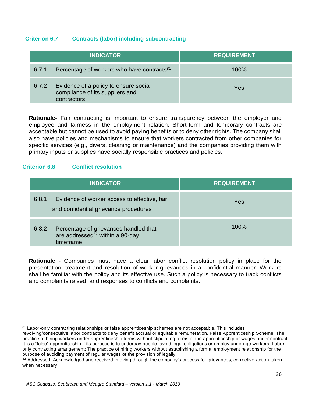### <span id="page-38-0"></span>**Criterion 6.7 Contracts (labor) including subcontracting**

|       | <b>INDICATOR</b>                                                                        | <b>REQUIREMENT</b> |
|-------|-----------------------------------------------------------------------------------------|--------------------|
| 6.7.1 | Percentage of workers who have contracts <sup>81</sup>                                  | $100\%$            |
| 6.7.2 | Evidence of a policy to ensure social<br>compliance of its suppliers and<br>contractors | Yes                |

**Rationale-** Fair contracting is important to ensure transparency between the employer and employee and fairness in the employment relation. Short-term and temporary contracts are acceptable but cannot be used to avoid paying benefits or to deny other rights. The company shall also have policies and mechanisms to ensure that workers contracted from other companies for specific services (e.g., divers, cleaning or maintenance) and the companies providing them with primary inputs or supplies have socially responsible practices and policies.

### <span id="page-38-1"></span>**Criterion 6.8 Conflict resolution**

<span id="page-38-2"></span> $\overline{a}$ 

| <b>INDICATOR</b>                                                                                           | <b>REQUIREMENT</b> |
|------------------------------------------------------------------------------------------------------------|--------------------|
| 6.8.1<br>Evidence of worker access to effective, fair<br>and confidential grievance procedures             | Yes                |
| Percentage of grievances handled that<br>6.8.2<br>are addressed <sup>82</sup> within a 90-day<br>timeframe | 100%               |

**Rationale** - Companies must have a clear labor conflict resolution policy in place for the presentation, treatment and resolution of worker grievances in a confidential manner. Workers shall be familiar with the policy and its effective use. Such a policy is necessary to track conflicts and complaints raised, and responses to conflicts and complaints.

<sup>81</sup> Labor-only contracting relationships or false apprenticeship schemes are not acceptable. This includes

revolving/consecutive labor contracts to deny benefit accrual or equitable remuneration. False Apprenticeship Scheme: The practice of hiring workers under apprenticeship terms without stipulating terms of the apprenticeship or wages under contract. It is a "false" apprenticeship if its purpose is to underpay people, avoid legal obligations or employ underage workers. Laboronly contracting arrangement: The practice of hiring workers without establishing a formal employment relationship for the purpose of avoiding payment of regular wages or the provision of legally

<sup>&</sup>lt;sup>82</sup> Addressed: Acknowledged and received, moving through the company's process for grievances, corrective action taken when necessary.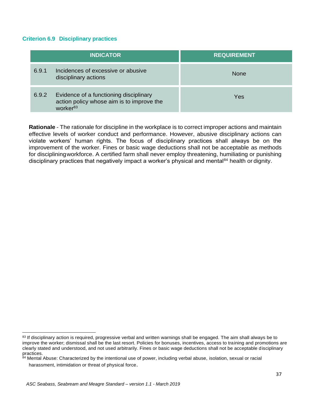#### **Criterion 6.9 Disciplinary practices**

| <b>INDICATOR</b> |                                                                                                             | <b>REQUIREMENT</b> |
|------------------|-------------------------------------------------------------------------------------------------------------|--------------------|
| 6.9.1            | Incidences of excessive or abusive<br>disciplinary actions                                                  | <b>None</b>        |
| 6.9.2            | Evidence of a functioning disciplinary<br>action policy whose aim is to improve the<br>WOrker <sup>83</sup> | Yes                |

<span id="page-39-0"></span>**Rationale** - The rationale for discipline in the workplace is to correct improper actions and maintain effective levels of worker conduct and performance. However, abusive disciplinary actions can violate workers' human rights. The focus of disciplinary practices shall always be on the improvement of the worker. Fines or basic wage deductions shall not be acceptable as methods for discipliningworkforce. A certified farm shall never employ threatening, humiliating or punishing disciplinary practices that negatively impact a worker's physical and mental $84$  health or dignity.

<sup>83</sup> If disciplinary action is required, progressive verbal and written warnings shall be engaged. The aim shall always be to improve the worker; dismissal shall be the last resort. Policies for bonuses, incentives, access to training and promotions are clearly stated and understood, and not used arbitrarily. Fines or basic wage deductions shall not be acceptable disciplinary practices.

<sup>&</sup>lt;sup>84</sup> Mental Abuse: Characterized by the intentional use of power, including verbal abuse, isolation, sexual or racial harassment, intimidation or threat of physical force.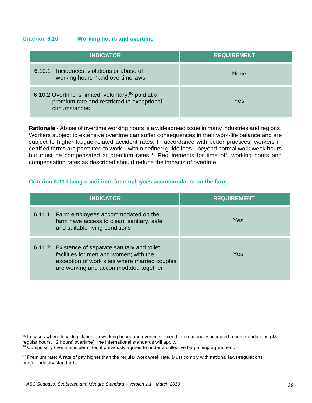#### **Criterion 6.10 Working hours and overtime**

| <b>INDICATOR</b>                                                                                                   | <b>REQUIREMENT</b> |
|--------------------------------------------------------------------------------------------------------------------|--------------------|
| 6.10.1 Incidences, violations or abuse of<br>working hours <sup>85</sup> and overtime laws                         | <b>None</b>        |
| 6.10.2 Overtime is limited, voluntary, 86 paid at a<br>premium rate and restricted to exceptional<br>circumstances | Yes                |

**Rationale** - Abuse of overtime working hours is a widespread issue in many industries and regions. Workers subject to extensive overtime can suffer consequences in their work-life balance and are subject to higher fatigue-related accident rates. In accordance with better practices, workers in certified farms are permitted to work—within defined guidelines—beyond normal work week hours but must be compensated at premium rates.<sup>87</sup> Requirements for time off, working hours and compensation rates as described should reduce the impacts of overtime.

#### <span id="page-40-0"></span>**Criterion 6.11 Living conditions for employees accommodated on the farm**

| <b>INDICATOR</b>                                                                                                                                                                     | <b>REQUIREMENT</b> |
|--------------------------------------------------------------------------------------------------------------------------------------------------------------------------------------|--------------------|
| 6.11.1 Farm employees accommodated on the<br>farm have access to clean, sanitary, safe<br>and suitable living conditions                                                             | Yes                |
| 6.11.2 Existence of separate sanitary and toilet<br>facilities for men and women; with the<br>exception of work sites where married couples<br>are working and accommodated together | Yes                |

 <sup>85</sup> In cases where local legislation on working hours and overtime exceed internationally accepted recommendations (48 regular hours, 12 hours' overtime), the international standards will apply.

<sup>86</sup> Compulsory overtime is permitted if previously agreed to under a collective bargaining agreement.

<sup>&</sup>lt;sup>87</sup> Premium rate: A rate of pay higher than the regular work week rate. Must comply with national laws/regulations and/or industry standards.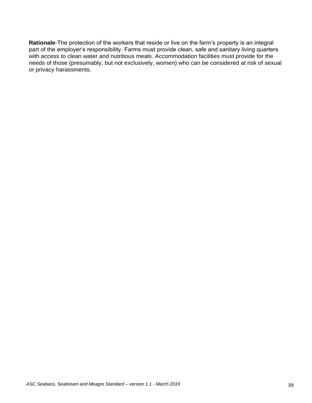<span id="page-41-0"></span>**Rationale**-The protection of the workers that reside or live on the farm's property is an integral part of the employer's responsibility. Farms must provide clean, safe and sanitary living quarters with access to clean water and nutritious meals. Accommodation facilities must provide for the needs of those (presumably, but not exclusively, women) who can be considered at risk of sexual or privacy harassments.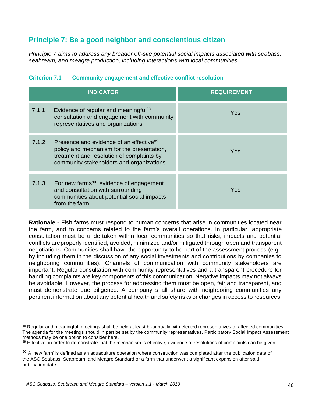## **Principle 7: Be a good neighbor and conscientious citizen**

*Principle 7 aims to address any broader off-site potential social impacts associated with seabass, seabream, and meagre production, including interactions with local communities.*

|       | <b>INDICATOR</b>                                                                                                                                                                           | <b>REQUIREMENT</b> |
|-------|--------------------------------------------------------------------------------------------------------------------------------------------------------------------------------------------|--------------------|
| 7.1.1 | Evidence of regular and meaningful <sup>88</sup><br>consultation and engagement with community<br>representatives and organizations                                                        | Yes                |
| 7.1.2 | Presence and evidence of an effective <sup>89</sup><br>policy and mechanism for the presentation,<br>treatment and resolution of complaints by<br>community stakeholders and organizations | Yes                |
| 7.1.3 | For new farms <sup>90</sup> , evidence of engagement<br>and consultation with surrounding<br>communities about potential social impacts<br>from the farm.                                  | Yes                |

#### <span id="page-42-0"></span>**Criterion 7.1 Community engagement and effective conflict resolution**

**Rationale** - Fish farms must respond to human concerns that arise in communities located near the farm, and to concerns related to the farm's overall operations. In particular, appropriate consultation must be undertaken within local communities so that risks, impacts and potential conflicts areproperly identified, avoided, minimized and/or mitigated through open and transparent negotiations. Communities shall have the opportunity to be part of the assessment process (e.g., by including them in the discussion of any social investments and contributions by companies to neighboring communities). Channels of communication with community stakeholders are important. Regular consultation with community representatives and a transparent procedure for handling complaints are key components of this communication. Negative impacts may not always be avoidable. However, the process for addressing them must be open, fair and transparent, and must demonstrate due diligence. A company shall share with neighboring communities any pertinent information about any potential health and safety risks or changes in access to resources.

 88 Regular and meaningful: meetings shall be held at least bi-annually with elected representatives of affected communities. The agenda for the meetings should in part be set by the community representatives. Participatory Social Impact Assessment methods may be one option to consider here.

<sup>89</sup> Effective: in order to demonstrate that the mechanism is effective, evidence of resolutions of complaints can be given

 $90$  A 'new farm' is defined as an aquaculture operation where construction was completed after the publication date of the ASC Seabass, Seabream, and Meagre Standard or a farm that underwent a significant expansion after said publication date.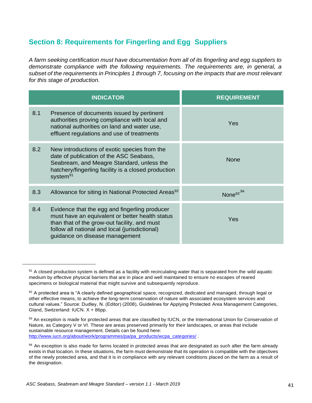# <span id="page-43-0"></span>**Section 8: Requirements for Fingerling and Egg Suppliers**

*A farm seeking certification must have documentation from all of its fingerling and egg suppliers to demonstrate compliance with the following requirements. The requirements are, in general, a subset of the requirements in Principles 1 through 7, focusing on the impacts that are most relevant for this stage of production.*

| <b>INDICATOR</b> |                                                                                                                                                                                                                                      | <b>REQUIREMENT</b>    |
|------------------|--------------------------------------------------------------------------------------------------------------------------------------------------------------------------------------------------------------------------------------|-----------------------|
| 8.1              | Presence of documents issued by pertinent<br>authorities proving compliance with local and<br>national authorities on land and water use,<br>effluent regulations and use of treatments                                              | Yes                   |
| 8.2              | New introductions of exotic species from the<br>date of publication of the ASC Seabass,<br>Seabream, and Meagre Standard, unless the<br>hatchery/fingerling facility is a closed production<br>system <sup>91</sup>                  | <b>None</b>           |
| 8.3              | Allowance for siting in National Protected Areas <sup>92</sup>                                                                                                                                                                       | None <sup>93,94</sup> |
| 8.4              | Evidence that the egg and fingerling producer<br>must have an equivalent or better health status<br>than that of the grow-out facility, and must<br>follow all national and local (jurisdictional)<br>guidance on disease management | Yes                   |

 $91$  A closed production system is defined as a facility with recirculating water that is separated from the wild aquatic medium by effective physical barriers that are in place and well maintained to ensure no escapes of reared specimens or biological material that might survive and subsequently reproduce.

<sup>92</sup> A protected area is "A clearly defined geographical space, recognized, dedicated and managed, through legal or other effective means, to achieve the long-term conservation of nature with associated ecosystem services and cultural values." Source: Dudley, N. (Editor) (2008), Guidelines for Applying Protected Area Management Categories, Gland, Switzerland: IUCN. X + 86pp.

<sup>93</sup> An exception is made for protected areas that are classified by IUCN, or the International Union for Conservation of Nature, as Category V or VI. These are areas preserved primarily for their landscapes, or areas that include sustainable resource management. Details can be found here: [http://www.iucn.org/about/work/programmes/pa/pa\\_products/wcpa\\_categories/](http://www.iucn.org/about/work/programmes/pa/pa_products/wcpa_categories/) .

<sup>94</sup> An exception is also made for farms located in protected areas that are designated as such after the farm already exists in that location. In these situations, the farm must demonstrate that its operation is compatible with the objectives of the newly protected area, and that it is in compliance with any relevant conditions placed on the farm as a result of the designation.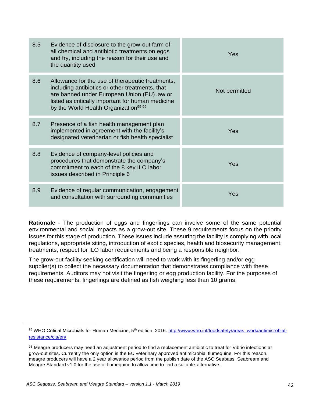| 8.5 | Evidence of disclosure to the grow-out farm of<br>all chemical and antibiotic treatments on eggs<br>and fry, including the reason for their use and<br>the quantity used                                                                                     | Yes           |
|-----|--------------------------------------------------------------------------------------------------------------------------------------------------------------------------------------------------------------------------------------------------------------|---------------|
| 8.6 | Allowance for the use of therapeutic treatments,<br>including antibiotics or other treatments, that<br>are banned under European Union (EU) law or<br>listed as critically important for human medicine<br>by the World Health Organization <sup>95,96</sup> | Not permitted |
| 8.7 | Presence of a fish health management plan<br>implemented in agreement with the facility's<br>designated veterinarian or fish health specialist                                                                                                               | Yes           |
| 8.8 | Evidence of company-level policies and<br>procedures that demonstrate the company's<br>commitment to each of the 8 key ILO labor<br>issues described in Principle 6                                                                                          | Yes           |
| 8.9 | Evidence of regular communication, engagement<br>and consultation with surrounding communities                                                                                                                                                               | Yes           |

**Rationale** - The production of eggs and fingerlings can involve some of the same potential environmental and social impacts as a grow-out site. These 9 requirements focus on the priority issues for this stage of production. These issues include assuring the facility is complying with local regulations, appropriate siting, introduction of exotic species, health and biosecurity management, treatments, respect for ILO labor requirements and being a responsible neighbor.

The grow-out facility seeking certification will need to work with its fingerling and/or egg supplier(s) to collect the necessary documentation that demonstrates compliance with these requirements. Auditors may not visit the fingerling or egg production facility. For the purposes of these requirements, fingerlings are defined as fish weighing less than 10 grams.

<sup>95</sup> WHO Critical Microbials for Human Medicine, 5<sup>th</sup> edition, 2016. [http://www.who.int/foodsafety/areas\\_work/antimicrobial](http://www.who.int/foodsafety/areas_work/antimicrobial-)resistance/cia/en/

<sup>96</sup> Meagre producers may need an adjustment period to find a replacement antibiotic to treat for Vibrio infections at grow-out sites. Currently the only option is the EU veterinary approved antimicrobial flumequine. For this reason, meagre producers will have a 2 year allowance period from the publish date of the ASC Seabass, Seabream and Meagre Standard v1.0 for the use of flumequine to allow time to find a suitable alternative.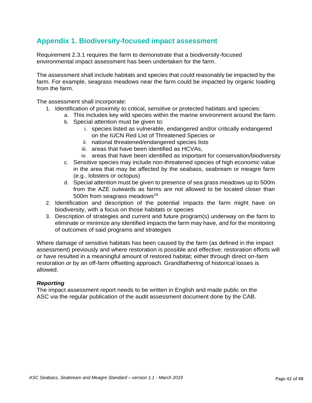## <span id="page-45-0"></span>**Appendix 1. Biodiversity-focused impact assessment**

Requirement 2.3.1 requires the farm to demonstrate that a biodiversity-focused environmental impact assessment has been undertaken for the farm.

The assessment shall include habitats and species that could reasonably be impacted by the farm. For example, seagrass meadows near the farm could be impacted by organic loading from the farm.

The assessment shall incorporate:

- 1. Identification of proximity to critical, sensitive or protected habitats and species:
	- a. This includes key wild species within the marine environment around the farm.
		- b. Special attention must be given to:
			- i. species listed as vulnerable, endangered and/or critically endangered on the IUCN Red List of Threatened Species or
			- ii. national threatened/endangered species lists
			- iii. areas that have been identified as HCVAs,
			- iv. areas that have been identified as important for conservation/biodiversity
		- c. Sensitive species may include non-threatened species of high economic value in the area that may be affected by the seabass, seabream or meagre farm (e.g., lobsters or octopus)
		- d. Special attention must be given to presence of sea grass meadows up to 500m from the AZE outwards as farms are not allowed to be located closer than 500m from seagrass meadows<sup>16</sup>
- 2. Identification and description of the potential impacts the farm might have on biodiversity, with a focus on those habitats or species
- 3. Description of strategies and current and future program(s) underway on the farm to eliminate or minimize any identified impacts the farm may have, and for the monitoring of outcomes of said programs and strategies

Where damage of sensitive habitats has been caused by the farm (as defined in the impact assessment) previously and where restoration is possible and effective; restoration efforts will or have resulted in a meaningful amount of restored habitat; either through direct on-farm restoration or by an off-farm offsetting approach. Grandfathering of historical losses is allowed.

#### *Reporting*

The impact assessment report needs to be written in English and made public on the ASC via the regular publication of the audit assessment document done by the CAB.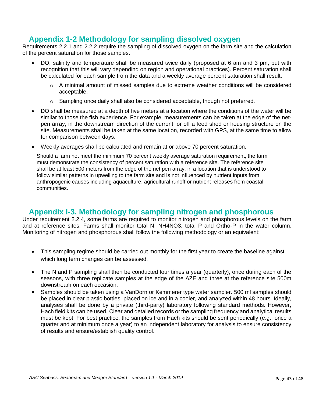# **Appendix 1-2 Methodology for sampling dissolved oxygen**

Requirements 2.2.1 and 2.2.2 require the sampling of dissolved oxygen on the farm site and the calculation of the percent saturation for those samples.

- DO, salinity and temperature shall be measured twice daily (proposed at 6 am and 3 pm, but with recognition that this will vary depending on region and operational practices). Percent saturation shall be calculated for each sample from the data and a weekly average percent saturation shall result.
	- $\circ$  A minimal amount of missed samples due to extreme weather conditions will be considered acceptable.
	- $\circ$  Sampling once daily shall also be considered acceptable, though not preferred.
- DO shall be measured at a depth of five meters at a location where the conditions of the water will be similar to those the fish experience. For example, measurements can be taken at the edge of the netpen array, in the downstream direction of the current, or off a feed shed or housing structure on the site. Measurements shall be taken at the same location, recorded with GPS, at the same time to allow for comparison between days.
- Weekly averages shall be calculated and remain at or above 70 percent saturation.

Should a farm not meet the minimum 70 percent weekly average saturation requirement, the farm must demonstrate the consistency of percent saturation with a reference site. The reference site shall be at least 500 meters from the edge of the net pen array, in a location that is understood to follow similar patterns in upwelling to the farm site and is not influenced by nutrient inputs from anthropogenic causes including aquaculture, agricultural runoff or nutrient releases from coastal communities.

## **Appendix I-3. Methodology for sampling nitrogen and phosphorous**

Under requirement 2.2.4, some farms are required to monitor nitrogen and phosphorous levels on the farm and at reference sites. Farms shall monitor total N, NH4NO3, total P and Ortho-P in the water column. Monitoring of nitrogen and phosphorous shall follow the following methodology or an equivalent:

- This sampling regime should be carried out monthly for the first year to create the baseline against which long term changes can be assessed.
- The N and P sampling shall then be conducted four times a year (quarterly), once during each of the seasons, with three replicate samples at the edge of the AZE and three at the reference site 500m downstream on each occasion.
- Samples should be taken using a VanDorn or Kemmerer type water sampler. 500 ml samples should be placed in clear plastic bottles, placed on ice and in a cooler, and analyzed within 48 hours. Ideally, analyses shall be done by a private (third-party) laboratory following standard methods. However, Hach field kits can be used. Clear and detailed records or the sampling frequency and analytical results must be kept. For best practice, the samples from Hach kits should be sent periodically (e.g., once a quarter and at minimum once a year) to an independent laboratory for analysis to ensure consistency of results and ensure/establish quality control.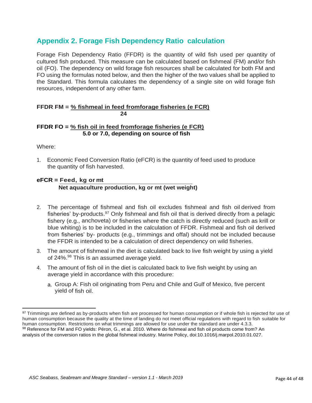## <span id="page-47-0"></span>**Appendix 2. Forage Fish Dependency Ratio calculation**

Forage Fish Dependency Ratio (FFDR) is the quantity of wild fish used per quantity of cultured fish produced. This measure can be calculated based on fishmeal (FM) and/or fish oil (FO). The dependency on wild forage fish resources shall be calculated for both FM and FO using the formulas noted below, and then the higher of the two values shall be applied to the Standard. This formula calculates the dependency of a single site on wild forage fish resources, independent of any other farm.

#### **FFDR FM = % fishmeal in feed fromforage fisheries (e FCR) 24**

#### **FFDR FO = % fish oil in feed fromforage fisheries (e FCR) 5.0 or 7.0, depending on source of fish**

Where:

1. Economic Feed Conversion Ratio (eFCR) is the quantity of feed used to produce the quantity of fish harvested.

## **eFCR = Feed, kg or mt**

#### **Net aquaculture production, kg or mt (wet weight)**

- 2. The percentage of fishmeal and fish oil excludes fishmeal and fish oil derived from fisheries' by-products.<sup>97</sup> Only fishmeal and fish oil that is derived directly from a pelagic fishery (e.g., anchoveta) or fisheries where the catch is directly reduced (such as krill or blue whiting) is to be included in the calculation of FFDR. Fishmeal and fish oil derived from fisheries' by- products (e.g., trimmings and offal) should not be included because the FFDR is intended to be a calculation of direct dependency on wild fisheries.
- 3. The amount of fishmeal in the diet is calculated back to live fish weight by using a yield of 24%.<sup>98</sup> This is an assumed average yield.
- 4. The amount of fish oil in the diet is calculated back to live fish weight by using an average yield in accordance with this procedure:
	- a. Group A: Fish oil originating from Peru and Chile and Gulf of Mexico, five percent yield of fish oil.

<sup>97</sup> Trimmings are defined as by-products when fish are processed for human consumption or if whole fish is rejected for use of human consumption because the quality at the time of landing do not meet official regulations with regard to fish suitable for human consumption. Restrictions on what trimmings are allowed for use under the standard are under 4.3.3. 98 Reference for FM and FO yields: Péron, G., et al. 2010. Where do fishmeal and fish oil products come from? An analysis of the conversion ratios in the global fishmeal industry. Marine Policy, doi:10.1016/j.marpol.2010.01.027.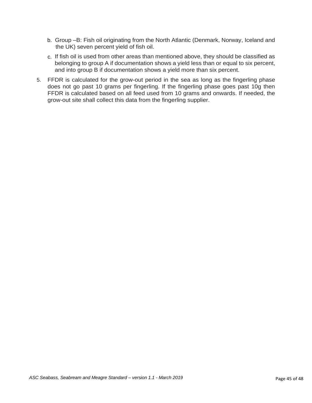- b. Group –B: Fish oil originating from the North Atlantic (Denmark, Norway, Iceland and the UK) seven percent yield of fish oil.
- c. If fish oil is used from other areas than mentioned above, they should be classified as belonging to group A if documentation shows a yield less than or equal to six percent, and into group B if documentation shows a yield more than six percent.
- 5. FFDR is calculated for the grow-out period in the sea as long as the fingerling phase does not go past 10 grams per fingerling. If the fingerling phase goes past 10g then FFDR is calculated based on all feed used from 10 grams and onwards. If needed, the grow-out site shall collect this data from the fingerling supplier.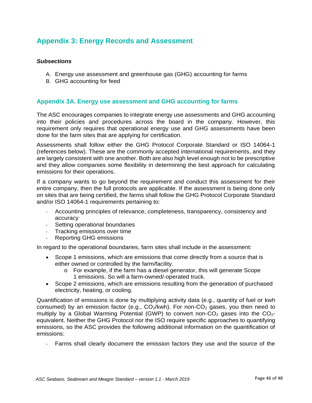## <span id="page-49-0"></span>**Appendix 3: Energy Records and Assessment**

#### *Subsections*

- A. Energy use assessment and greenhouse gas (GHG) accounting for farms
- B. GHG accounting for feed

#### <span id="page-49-1"></span>**Appendix 3A. Energy use assessment and GHG accounting for farms**

The ASC encourages companies to integrate energy use assessments and GHG accounting into their policies and procedures across the board in the company. However, this requirement only requires that operational energy use and GHG assessments have been done for the farm sites that are applying for certification.

Assessments shall follow either the GHG Protocol Corporate Standard or ISO 14064-1 (references below). These are the commonly accepted international requirements, and they are largely consistent with one another. Both are also high level enough not to be prescriptive and they allow companies some flexibility in determining the best approach for calculating emissions for their operations.

If a company wants to go beyond the requirement and conduct this assessment for their entire company, then the full protocols are applicable. If the assessment is being done only on sites that are being certified, the farms shall follow the GHG Protocol Corporate Standard and/or ISO 14064-1 requirements pertaining to:

- Accounting principles of relevance, completeness, transparency, consistency and accuracy
- Setting operational boundaries
- Tracking emissions over time
- Reporting GHG emissions

In regard to the operational boundaries, farm sites shall include in the assessment:

- Scope 1 emissions, which are emissions that come directly from a source that is either owned or controlled by the farm/facility.
	- o For example, if the farm has a diesel generator, this will generate Scope 1 emissions. So will a farm-owned/-operated truck.
- Scope 2 emissions, which are emissions resulting from the generation of purchased electricity, heating, or cooling.

Quantification of emissions is done by multiplying activity data (e.g., quantity of fuel or kwh consumed) by an emission factor (e.g.,  $CO_2/kwh$ ). For non- $CO_2$  gases, you then need to multiply by a Global Warming Potential (GWP) to convert non- $CO<sub>2</sub>$  gases into the  $CO<sub>2</sub>$ equivalent. Neither the GHG Protocol nor the ISO require specific approaches to quantifying emissions, so the ASC provides the following additional information on the quantification of emissions:

Farms shall clearly document the emission factors they use and the source of the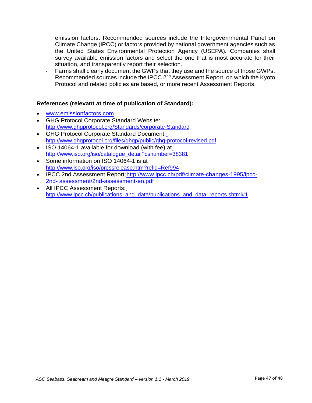emission factors. Recommended sources include the Intergovernmental Panel on Climate Change (IPCC) or factors provided by national government agencies such as the United States Environmental Protection Agency (USEPA). Companies shall survey available emission factors and select the one that is most accurate for their situation, and transparently report their selection.

- Farms shall clearly document the GWPs that they use and the source of those GWPs. Recommended sources include the IPCC 2<sup>nd</sup> Assessment Report, on which the Kyoto Protocol and related policies are based, or more recent Assessment Reports.

#### **References (relevant at time of publication of Standard):**

- [www.emissionfactors.com](http://www.emissionfactors.com/)
- GHG Protocol Corporate Standard Website: <http://www.ghgprotocol.org/Standards/corporate-Standard>
- GHG Protocol Corporate Standard Document: <http://www.ghgprotocol.org/files/ghgp/public/ghg-protocol-revised.pdf>
- ISO 14064-1 available for download (with fee) at [http://www.iso.org/iso/catalogue\\_detail?csnumber=38381](http://www.iso.org/iso/catalogue_detail?csnumber=38381)
- Some information on ISO 14064-1 is at <http://www.iso.org/iso/pressrelease.htm?refid=Ref994>
- IPCC 2nd Assessment Report: http://www.ipcc.ch/pdf/climate-changes-1995/ipcc-[2nd-](http://www.ipcc.ch/pdf/climate-changes-1995/ipcc-2nd-) assessment/2nd-assessment-en.pdf
- <span id="page-50-0"></span> All IPCC Assessment Reports: [http://www.ipcc.ch/publications\\_and\\_data/publications\\_and\\_data\\_reports.shtml#1](http://www.ipcc.ch/publications_and_data/publications_and_data_reports.shtml#1)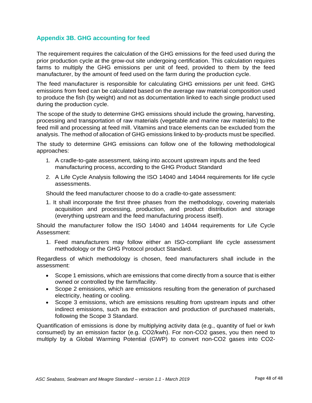## **Appendix 3B. GHG accounting for feed**

The requirement requires the calculation of the GHG emissions for the feed used during the prior production cycle at the grow-out site undergoing certification. This calculation requires farms to multiply the GHG emissions per unit of feed, provided to them by the feed manufacturer, by the amount of feed used on the farm during the production cycle.

The feed manufacturer is responsible for calculating GHG emissions per unit feed. GHG emissions from feed can be calculated based on the average raw material composition used to produce the fish (by weight) and not as documentation linked to each single product used during the production cycle.

The scope of the study to determine GHG emissions should include the growing, harvesting, processing and transportation of raw materials (vegetable and marine raw materials) to the feed mill and processing at feed mill. Vitamins and trace elements can be excluded from the analysis. The method of allocation of GHG emissions linked to by-products must be specified.

The study to determine GHG emissions can follow one of the following methodological approaches:

- 1. A cradle-to-gate assessment, taking into account upstream inputs and the feed manufacturing process, according to the GHG Product Standard
- 2. A Life Cycle Analysis following the ISO 14040 and 14044 requirements for life cycle assessments.

Should the feed manufacturer choose to do a cradle-to-gate assessment:

1. It shall incorporate the first three phases from the methodology, covering materials acquisition and processing, production, and product distribution and storage (everything upstream and the feed manufacturing process itself).

Should the manufacturer follow the ISO 14040 and 14044 requirements for Life Cycle Assessment:

1. Feed manufacturers may follow either an ISO-compliant life cycle assessment methodology or the GHG Protocol product Standard.

Regardless of which methodology is chosen, feed manufacturers shall include in the assessment:

- Scope 1 emissions, which are emissions that come directly from a source that is either owned or controlled by the farm/facility.
- Scope 2 emissions, which are emissions resulting from the generation of purchased electricity, heating or cooling.
- Scope 3 emissions, which are emissions resulting from upstream inputs and other indirect emissions, such as the extraction and production of purchased materials, following the Scope 3 Standard.

Quantification of emissions is done by multiplying activity data (e.g., quantity of fuel or kwh consumed) by an emission factor (e.g. CO2/kwh). For non-CO2 gases, you then need to multiply by a Global Warming Potential (GWP) to convert non-CO2 gases into CO2